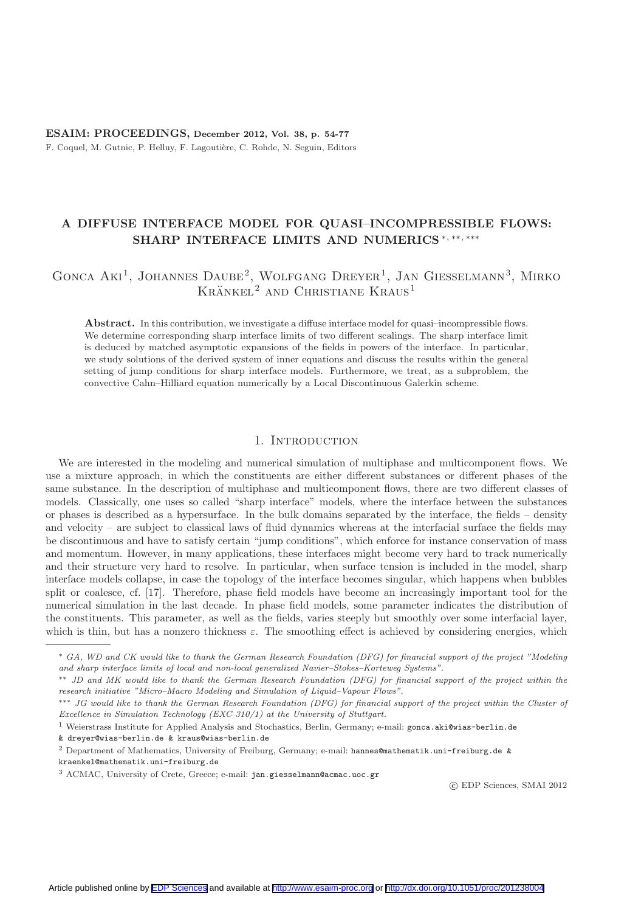# A DIFFUSE INTERFACE MODEL FOR QUASI–INCOMPRESSIBLE FLOWS: SHARP INTERFACE LIMITS AND NUMERICS \*, \*\*, \*\*\*

# GONCA AKI<sup>1</sup>, JOHANNES DAUBE<sup>2</sup>, WOLFGANG DREYER<sup>1</sup>, JAN GIESSELMANN<sup>3</sup>, MIRKO  $KRÄNKEL<sup>2</sup>$  and Christiane Kraus<sup>1</sup>

Abstract. In this contribution, we investigate a diffuse interface model for quasi–incompressible flows. We determine corresponding sharp interface limits of two different scalings. The sharp interface limit is deduced by matched asymptotic expansions of the fields in powers of the interface. In particular, we study solutions of the derived system of inner equations and discuss the results within the general setting of jump conditions for sharp interface models. Furthermore, we treat, as a subproblem, the convective Cahn–Hilliard equation numerically by a Local Discontinuous Galerkin scheme.

## 1. INTRODUCTION

We are interested in the modeling and numerical simulation of multiphase and multicomponent flows. We use a mixture approach, in which the constituents are either different substances or different phases of the same substance. In the description of multiphase and multicomponent flows, there are two different classes of models. Classically, one uses so called "sharp interface" models, where the interface between the substances or phases is described as a hypersurface. In the bulk domains separated by the interface, the fields – density and velocity – are subject to classical laws of fluid dynamics whereas at the interfacial surface the fields may be discontinuous and have to satisfy certain "jump conditions", which enforce for instance conservation of mass and momentum. However, in many applications, these interfaces might become very hard to track numerically and their structure very hard to resolve. In particular, when surface tension is included in the model, sharp interface models collapse, in case the topology of the interface becomes singular, which happens when bubbles split or coalesce, cf. [17]. Therefore, phase field models have become an increasingly important tool for the numerical simulation in the last decade. In phase field models, some parameter indicates the distribution of the constituents. This parameter, as well as the fields, varies steeply but smoothly over some interfacial layer, which is thin, but has a nonzero thickness  $\varepsilon$ . The smoothing effect is achieved by considering energies, which

c EDP Sciences, SMAI 2012

<sup>∗</sup> GA, WD and CK would like to thank the German Research Foundation (DFG) for financial support of the project "Modeling and sharp interface limits of local and non-local generalized Navier–Stokes–Korteweg Systems".

<sup>∗∗</sup> JD and MK would like to thank the German Research Foundation (DFG) for financial support of the project within the research initiative "Micro–Macro Modeling and Simulation of Liquid–Vapour Flows".

<sup>∗∗∗</sup> JG would like to thank the German Research Foundation (DFG) for financial support of the project within the Cluster of Excellence in Simulation Technology (EXC 310/1) at the University of Stuttgart.

<sup>1</sup> Weierstrass Institute for Applied Analysis and Stochastics, Berlin, Germany; e-mail: gonca.aki@wias-berlin.de & dreyer@wias-berlin.de & kraus@wias-berlin.de

<sup>2</sup> Department of Mathematics, University of Freiburg, Germany; e-mail: hannes@mathematik.uni-freiburg.de & kraenkel@mathematik.uni-freiburg.de

<sup>3</sup> ACMAC, University of Crete, Greece; e-mail: jan.giesselmann@acmac.uoc.gr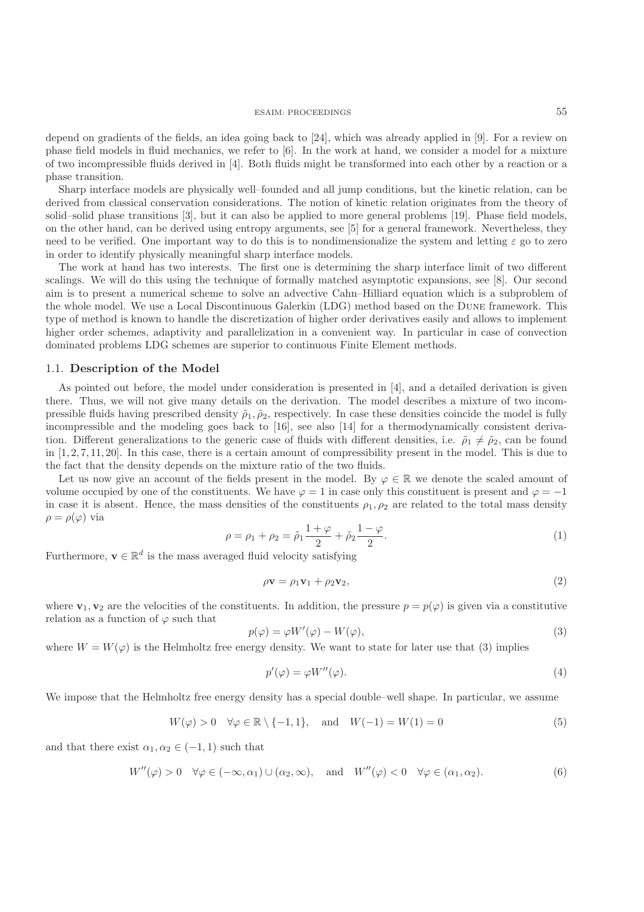depend on gradients of the fields, an idea going back to [24], which was already applied in [9]. For a review on phase field models in fluid mechanics, we refer to [6]. In the work at hand, we consider a model for a mixture of two incompressible fluids derived in [4]. Both fluids might be transformed into each other by a reaction or a phase transition.

Sharp interface models are physically well–founded and all jump conditions, but the kinetic relation, can be derived from classical conservation considerations. The notion of kinetic relation originates from the theory of solid–solid phase transitions [3], but it can also be applied to more general problems [19]. Phase field models, on the other hand, can be derived using entropy arguments, see [5] for a general framework. Nevertheless, they need to be verified. One important way to do this is to nondimensionalize the system and letting  $\varepsilon$  go to zero in order to identify physically meaningful sharp interface models.

The work at hand has two interests. The first one is determining the sharp interface limit of two different scalings. We will do this using the technique of formally matched asymptotic expansions, see [8]. Our second aim is to present a numerical scheme to solve an advective Cahn–Hilliard equation which is a subproblem of the whole model. We use a Local Discontinuous Galerkin (LDG) method based on the Dune framework. This type of method is known to handle the discretization of higher order derivatives easily and allows to implement higher order schemes, adaptivity and parallelization in a convenient way. In particular in case of convection dominated problems LDG schemes are superior to continuous Finite Element methods.

#### 1.1. Description of the Model

As pointed out before, the model under consideration is presented in [4], and a detailed derivation is given there. Thus, we will not give many details on the derivation. The model describes a mixture of two incompressible fluids having prescribed density  $\tilde{\rho}_1, \tilde{\rho}_2$ , respectively. In case these densities coincide the model is fully incompressible and the modeling goes back to [16], see also [14] for a thermodynamically consistent derivation. Different generalizations to the generic case of fluids with different densities, i.e.  $\tilde{\rho}_1 \neq \tilde{\rho}_2$ , can be found in [1, 2, 7, 11, 20]. In this case, there is a certain amount of compressibility present in the model. This is due to the fact that the density depends on the mixture ratio of the two fluids.

Let us now give an account of the fields present in the model. By  $\varphi \in \mathbb{R}$  we denote the scaled amount of volume occupied by one of the constituents. We have  $\varphi = 1$  in case only this constituent is present and  $\varphi = -1$ in case it is absent. Hence, the mass densities of the constituents  $\rho_1, \rho_2$  are related to the total mass density  $\rho = \rho(\varphi)$  via

$$
\rho = \rho_1 + \rho_2 = \tilde{\rho}_1 \frac{1+\varphi}{2} + \tilde{\rho}_2 \frac{1-\varphi}{2}.
$$
\n(1)

Furthermore,  $\mathbf{v} \in \mathbb{R}^d$  is the mass averaged fluid velocity satisfying

$$
\rho \mathbf{v} = \rho_1 \mathbf{v}_1 + \rho_2 \mathbf{v}_2,\tag{2}
$$

where  $\mathbf{v}_1, \mathbf{v}_2$  are the velocities of the constituents. In addition, the pressure  $p = p(\varphi)$  is given via a constitutive relation as a function of  $\varphi$  such that

$$
p(\varphi) = \varphi W'(\varphi) - W(\varphi), \tag{3}
$$

where  $W = W(\varphi)$  is the Helmholtz free energy density. We want to state for later use that (3) implies

$$
p'(\varphi) = \varphi W''(\varphi). \tag{4}
$$

We impose that the Helmholtz free energy density has a special double–well shape. In particular, we assume

$$
W(\varphi) > 0 \quad \forall \varphi \in \mathbb{R} \setminus \{-1, 1\}, \quad \text{and} \quad W(-1) = W(1) = 0 \tag{5}
$$

and that there exist  $\alpha_1, \alpha_2 \in (-1, 1)$  such that

$$
W''(\varphi) > 0 \quad \forall \varphi \in (-\infty, \alpha_1) \cup (\alpha_2, \infty), \quad \text{and} \quad W''(\varphi) < 0 \quad \forall \varphi \in (\alpha_1, \alpha_2). \tag{6}
$$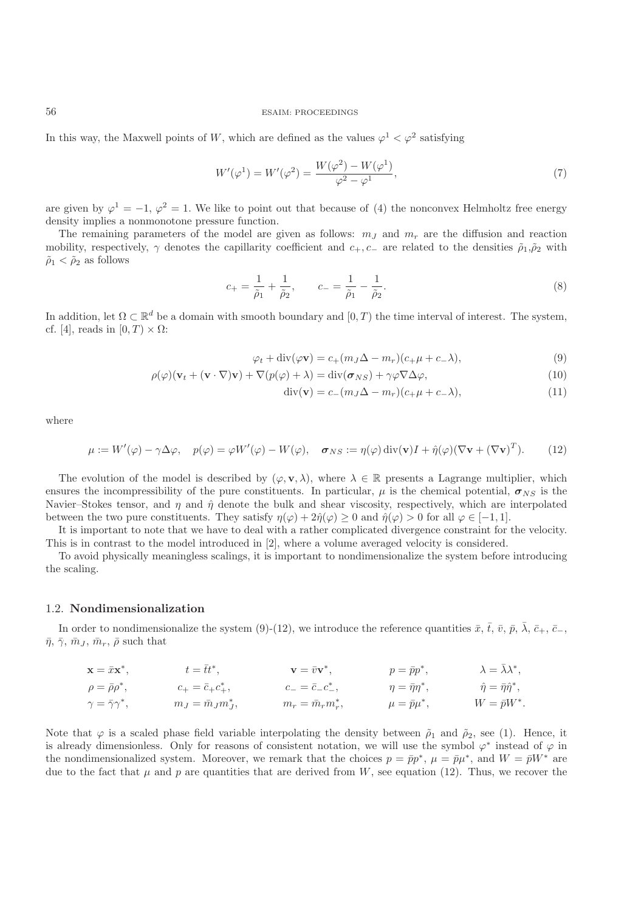In this way, the Maxwell points of W, which are defined as the values  $\varphi^1 < \varphi^2$  satisfying

$$
W'(\varphi^1) = W'(\varphi^2) = \frac{W(\varphi^2) - W(\varphi^1)}{\varphi^2 - \varphi^1},\tag{7}
$$

are given by  $\varphi^1 = -1$ ,  $\varphi^2 = 1$ . We like to point out that because of (4) the nonconvex Helmholtz free energy density implies a nonmonotone pressure function.

The remaining parameters of the model are given as follows:  $m<sub>J</sub>$  and  $m<sub>r</sub>$  are the diffusion and reaction mobility, respectively,  $\gamma$  denotes the capillarity coefficient and  $c_+, c_-$  are related to the densities  $\tilde{\rho}_1, \tilde{\rho}_2$  with  $\tilde{\rho}_1 < \tilde{\rho}_2$  as follows

$$
c_{+} = \frac{1}{\tilde{\rho}_{1}} + \frac{1}{\tilde{\rho}_{2}}, \qquad c_{-} = \frac{1}{\tilde{\rho}_{1}} - \frac{1}{\tilde{\rho}_{2}}.
$$
\n(8)

In addition, let  $\Omega \subset \mathbb{R}^d$  be a domain with smooth boundary and  $[0, T)$  the time interval of interest. The system, cf. [4], reads in  $[0, T] \times \Omega$ :

$$
\varphi_t + \operatorname{div}(\varphi \mathbf{v}) = c_+(m_J \Delta - m_r)(c_+\mu + c_-\lambda),\tag{9}
$$

$$
\rho(\varphi)(\mathbf{v}_t + (\mathbf{v} \cdot \nabla)\mathbf{v}) + \nabla(p(\varphi) + \lambda) = \text{div}(\boldsymbol{\sigma}_{NS}) + \gamma \varphi \nabla \Delta \varphi,
$$
\n(10)

$$
\operatorname{div}(\mathbf{v}) = c_{-}(m_{J}\Delta - m_{r})(c_{+}\mu + c_{-}\lambda), \tag{11}
$$

where

$$
\mu := W'(\varphi) - \gamma \Delta \varphi, \quad p(\varphi) = \varphi W'(\varphi) - W(\varphi), \quad \sigma_{NS} := \eta(\varphi) \operatorname{div}(\mathbf{v})I + \hat{\eta}(\varphi) (\nabla \mathbf{v} + (\nabla \mathbf{v})^T). \tag{12}
$$

The evolution of the model is described by  $(\varphi, \mathbf{v}, \lambda)$ , where  $\lambda \in \mathbb{R}$  presents a Lagrange multiplier, which ensures the incompressibility of the pure constituents. In particular,  $\mu$  is the chemical potential,  $\sigma_{NS}$  is the Navier–Stokes tensor, and  $\eta$  and  $\hat{\eta}$  denote the bulk and shear viscosity, respectively, which are interpolated between the two pure constituents. They satisfy  $\eta(\varphi) + 2\hat{\eta}(\varphi) \ge 0$  and  $\hat{\eta}(\varphi) > 0$  for all  $\varphi \in [-1, 1]$ .

It is important to note that we have to deal with a rather complicated divergence constraint for the velocity. This is in contrast to the model introduced in [2], where a volume averaged velocity is considered.

To avoid physically meaningless scalings, it is important to nondimensionalize the system before introducing the scaling.

## 1.2. Nondimensionalization

In order to nondimensionalize the system (9)-(12), we introduce the reference quantities  $\bar{x}$ ,  $\bar{t}$ ,  $\bar{v}$ ,  $\bar{p}$ ,  $\bar{\lambda}$ ,  $\bar{c}_{+}$ ,  $\bar{c}_{-}$ ,  $\bar{\eta}, \bar{\gamma}, \bar{m}_J, \bar{m}_r, \bar{\rho}$  such that

$$
\begin{aligned}\n\mathbf{x} &= \bar{x}\mathbf{x}^*, & t &= \bar{t}t^*, & \mathbf{v} &= \bar{v}\mathbf{v}^*, & p &= \bar{p}p^*, & \lambda &= \bar{\lambda}\lambda^*, \\
\rho &= \bar{\rho}\rho^*, & c_+ &= \bar{c}_+c_+^*, & c_- &= \bar{c}_-c_-^*, & \eta &= \bar{\eta}\eta^*, & \hat{\eta} &= \bar{\eta}\hat{\eta}^*, \\
\gamma &= \bar{\gamma}\gamma^*, & m_J &= \bar{m}_J m_J^*, & m_r &= \bar{m}_r m_r^*, & \mu &= \bar{p}\mu^*, & W &= \bar{p}W^*. \n\end{aligned}
$$

Note that  $\varphi$  is a scaled phase field variable interpolating the density between  $\tilde{\rho}_1$  and  $\tilde{\rho}_2$ , see (1). Hence, it is already dimensionless. Only for reasons of consistent notation, we will use the symbol  $\varphi^*$  instead of  $\varphi$  in the nondimensionalized system. Moreover, we remark that the choices  $p = \bar{p}p^*, \ \mu = \bar{p}\mu^*$ , and  $W = \bar{p}W^*$  are due to the fact that  $\mu$  and p are quantities that are derived from W, see equation (12). Thus, we recover the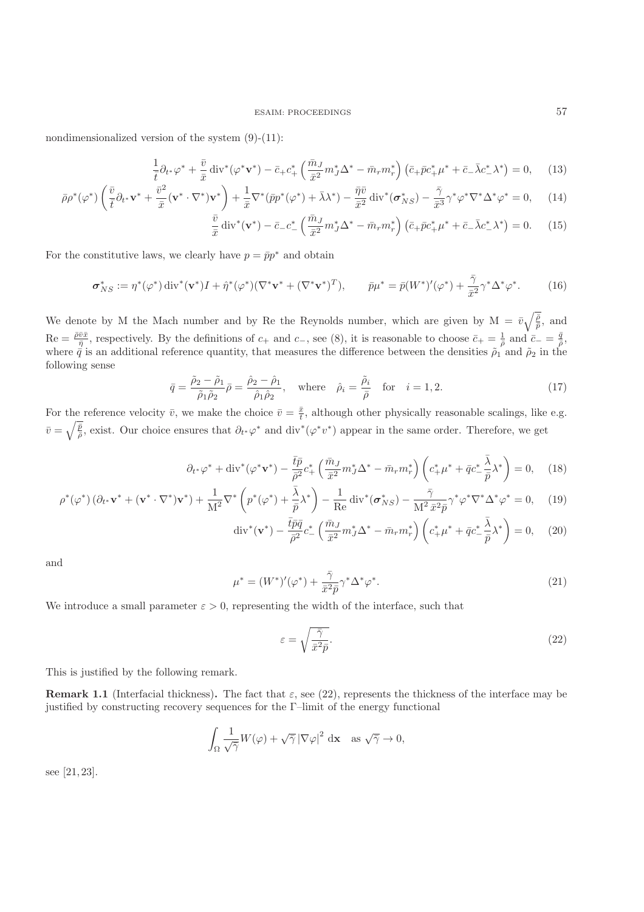nondimensionalized version of the system (9)-(11):

$$
\frac{1}{t}\partial_{t^{*}}\varphi^{*} + \frac{\bar{v}}{\bar{x}}\operatorname{div}^{*}(\varphi^{*}\mathbf{v}^{*}) - \bar{c}_{+}c_{+}^{*}\left(\frac{\bar{m}_{J}}{\bar{x}^{2}}m_{J}^{*}\Delta^{*} - \bar{m}_{r}m_{r}^{*}\right)\left(\bar{c}_{+}\bar{p}c_{+}^{*}\mu^{*} + \bar{c}_{-}\bar{\lambda}c_{-}^{*}\lambda^{*}\right) = 0, \quad (13)
$$

$$
\bar{\rho}\rho^*(\varphi^*)\left(\frac{\bar{v}}{\bar{t}}\partial_{t^*}\mathbf{v}^* + \frac{\bar{v}^2}{\bar{x}}(\mathbf{v}^*\cdot\nabla^*)\mathbf{v}^*\right) + \frac{1}{\bar{x}}\nabla^*(\bar{p}p^*(\varphi^*) + \bar{\lambda}\lambda^*) - \frac{\bar{\eta}\bar{v}}{\bar{x}^2}\operatorname{div}^*(\boldsymbol{\sigma}_{NS}^*) - \frac{\bar{\gamma}}{\bar{x}^3}\gamma^*\varphi^*\nabla^*\Delta^*\varphi^* = 0, \quad (14)
$$

$$
\frac{\bar{v}}{\bar{x}} \operatorname{div}^*(\mathbf{v}^*) - \bar{c}_- c_-^* \left( \frac{\bar{m}_J}{\bar{x}^2} m_J^* \Delta^* - \bar{m}_r m_r^* \right) \left( \bar{c}_+ \bar{p} c_+^* \mu^* + \bar{c}_- \bar{\lambda} c_-^* \lambda^* \right) = 0. \tag{15}
$$

For the constitutive laws, we clearly have  $p = \bar{p}p^*$  and obtain

$$
\sigma_{NS}^* := \eta^*(\varphi^*) \operatorname{div}^*(\mathbf{v}^*) I + \hat{\eta}^*(\varphi^*)(\nabla^*\mathbf{v}^* + (\nabla^*\mathbf{v}^*)^T), \qquad \bar{p}\mu^* = \bar{p}(W^*)'(\varphi^*) + \frac{\bar{\gamma}}{\bar{x}^2}\gamma^*\Delta^*\varphi^*.
$$
 (16)

We denote by M the Mach number and by Re the Reynolds number, which are given by  $M = \bar{v}\sqrt{\frac{\bar{\rho}}{\bar{p}}}$ , and  $\text{Re} = \frac{\bar{\rho}\bar{v}\bar{x}}{\bar{\eta}}$ , respectively. By the definitions of  $c_+$  and  $c_-$ , see (8), it is reasonable to choose  $\bar{c}_+ = \frac{1}{\bar{\rho}}$  and  $\bar{c}_- = \frac{\bar{q}}{\bar{\rho}}$ , where  $\bar{q}$  is an additional reference quantity, that measures the difference between the densities  $\tilde{\rho}_1$  and  $\tilde{\rho}_2$  in the following sense

$$
\bar{q} = \frac{\tilde{\rho}_2 - \tilde{\rho}_1}{\tilde{\rho}_1 \tilde{\rho}_2} \bar{\rho} = \frac{\hat{\rho}_2 - \hat{\rho}_1}{\hat{\rho}_1 \hat{\rho}_2}, \quad \text{where} \quad \hat{\rho}_i = \frac{\tilde{\rho}_i}{\bar{\rho}} \quad \text{for} \quad i = 1, 2. \tag{17}
$$

For the reference velocity  $\bar{v}$ , we make the choice  $\bar{v} = \frac{\bar{x}}{t}$ , although other physically reasonable scalings, like e.g.  $\bar{v} = \sqrt{\frac{\bar{p}}{\rho}}$ , exist. Our choice ensures that  $\partial_{t^*} \varphi^*$  and  $\text{div}^*(\varphi^* v^*)$  appear in the same order. Therefore, we get

$$
\partial_{t^{*}}\varphi^{*} + \text{div}^{*}(\varphi^{*}\mathbf{v}^{*}) - \frac{\bar{t}\bar{p}}{\bar{\rho}^{2}}c_{+}^{*}\left(\frac{\bar{m}_{J}}{\bar{x}^{2}}m_{J}^{*}\Delta^{*} - \bar{m}_{r}m_{r}^{*}\right)\left(c_{+}^{*}\mu^{*} + \bar{q}c_{-}^{*}\frac{\bar{\lambda}}{\bar{p}}\lambda^{*}\right) = 0, \quad (18)
$$

$$
\rho^*(\varphi^*)(\partial_{t^*}\mathbf{v}^* + (\mathbf{v}^*\cdot\nabla^*)\mathbf{v}^*) + \frac{1}{M^2}\nabla^*\left(p^*(\varphi^*) + \frac{\bar{\lambda}}{\bar{p}}\lambda^*\right) - \frac{1}{Re}\operatorname{div}^*(\sigma^*_{NS}) - \frac{\bar{\gamma}}{M^2\bar{x}^2\bar{p}}\gamma^*\varphi^*\nabla^*\Delta^*\varphi^* = 0, \quad (19)
$$

$$
\operatorname{div}^*(\mathbf{v}^*) - \frac{\bar{t}\bar{p}\bar{q}}{\bar{\rho}^2}c_-^* \left(\frac{\bar{m}_J}{\bar{x}^2}m_J^*\Delta^* - \bar{m}_r m_r^*\right) \left(c_+^*\mu^* + \bar{q}c_-^* \frac{\bar{\lambda}}{\bar{p}}\lambda^*\right) = 0, \quad (20)
$$

and

$$
\mu^* = (W^*)'(\varphi^*) + \frac{\bar{\gamma}}{\bar{x}^2 \bar{p}} \gamma^* \Delta^* \varphi^*.
$$
\n(21)

We introduce a small parameter  $\varepsilon > 0$ , representing the width of the interface, such that

$$
\varepsilon = \sqrt{\frac{\bar{\gamma}}{\bar{x}^2 \bar{p}}}.\tag{22}
$$

This is justified by the following remark.

**Remark 1.1** (Interfacial thickness). The fact that  $\varepsilon$ , see (22), represents the thickness of the interface may be justified by constructing recovery sequences for the Γ–limit of the energy functional

$$
\int_{\Omega} \frac{1}{\sqrt{\bar{\gamma}}} W(\varphi) + \sqrt{\bar{\gamma}} |\nabla \varphi|^2 \, \mathrm{d} \mathbf{x} \quad \text{as } \sqrt{\bar{\gamma}} \to 0,
$$

see [21, 23].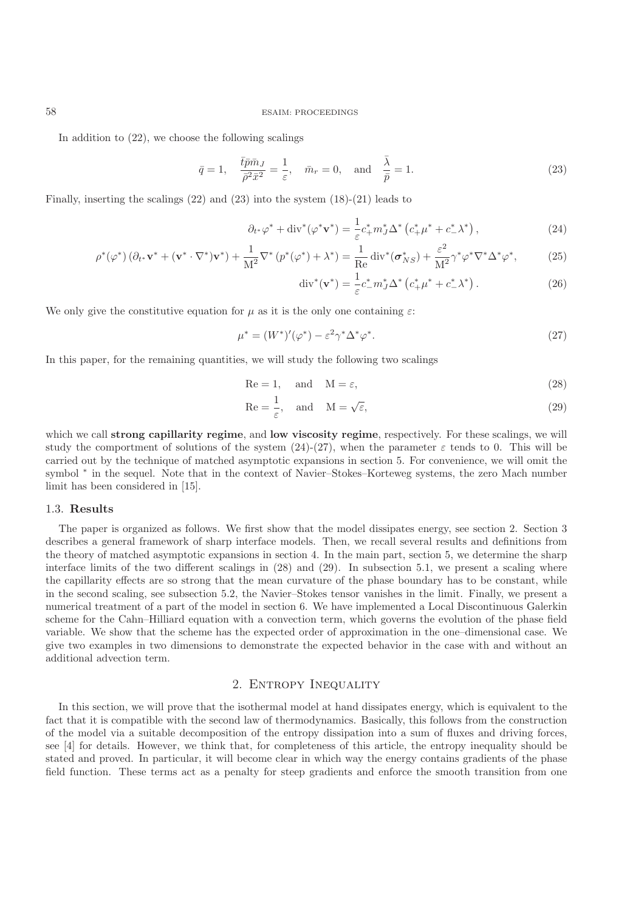In addition to (22), we choose the following scalings

$$
\bar{q} = 1, \quad \frac{\bar{t}\bar{p}\bar{m}_J}{\bar{\rho}^2 \bar{x}^2} = \frac{1}{\varepsilon}, \quad \bar{m}_r = 0, \quad \text{and} \quad \frac{\bar{\lambda}}{\bar{p}} = 1.
$$
\n(23)

Finally, inserting the scalings (22) and (23) into the system (18)-(21) leads to

$$
\partial_{t^*} \varphi^* + \text{div}^* (\varphi^* \mathbf{v}^*) = \frac{1}{\varepsilon} c_+^* m_J^* \Delta^* (c_+^* \mu^* + c_-^* \lambda^*), \qquad (24)
$$

$$
\rho^*(\varphi^*)\left(\partial_{t^*}\mathbf{v}^* + (\mathbf{v}^*\cdot\nabla^*)\mathbf{v}^*\right) + \frac{1}{M^2}\nabla^*\left(p^*(\varphi^*) + \lambda^*\right) = \frac{1}{\text{Re}}\operatorname{div}^*(\sigma_{NS}^*) + \frac{\varepsilon^2}{M^2}\gamma^*\varphi^*\nabla^*\Delta^*\varphi^*,\tag{25}
$$

$$
\operatorname{div}^*(\mathbf{v}^*) = \frac{1}{\varepsilon} c_-^* m_J^* \Delta^* \left( c_+^* \mu^* + c_-^* \lambda^* \right). \tag{26}
$$

We only give the constitutive equation for  $\mu$  as it is the only one containing  $\varepsilon$ .

$$
\mu^* = (W^*)'(\varphi^*) - \varepsilon^2 \gamma^* \Delta^* \varphi^*.
$$
\n(27)

In this paper, for the remaining quantities, we will study the following two scalings

$$
Re = 1, \quad \text{and} \quad M = \varepsilon,\tag{28}
$$

$$
\text{Re} = \frac{1}{\varepsilon}, \quad \text{and} \quad \text{M} = \sqrt{\varepsilon}, \tag{29}
$$

which we call strong capillarity regime, and low viscosity regime, respectively. For these scalings, we will study the comportment of solutions of the system  $(24)-(27)$ , when the parameter  $\varepsilon$  tends to 0. This will be carried out by the technique of matched asymptotic expansions in section 5. For convenience, we will omit the symbol <sup>∗</sup> in the sequel. Note that in the context of Navier–Stokes–Korteweg systems, the zero Mach number limit has been considered in [15].

#### 1.3. Results

The paper is organized as follows. We first show that the model dissipates energy, see section 2. Section 3 describes a general framework of sharp interface models. Then, we recall several results and definitions from the theory of matched asymptotic expansions in section 4. In the main part, section 5, we determine the sharp interface limits of the two different scalings in (28) and (29). In subsection 5.1, we present a scaling where the capillarity effects are so strong that the mean curvature of the phase boundary has to be constant, while in the second scaling, see subsection 5.2, the Navier–Stokes tensor vanishes in the limit. Finally, we present a numerical treatment of a part of the model in section 6. We have implemented a Local Discontinuous Galerkin scheme for the Cahn–Hilliard equation with a convection term, which governs the evolution of the phase field variable. We show that the scheme has the expected order of approximation in the one–dimensional case. We give two examples in two dimensions to demonstrate the expected behavior in the case with and without an additional advection term.

## 2. Entropy Inequality

In this section, we will prove that the isothermal model at hand dissipates energy, which is equivalent to the fact that it is compatible with the second law of thermodynamics. Basically, this follows from the construction of the model via a suitable decomposition of the entropy dissipation into a sum of fluxes and driving forces, see [4] for details. However, we think that, for completeness of this article, the entropy inequality should be stated and proved. In particular, it will become clear in which way the energy contains gradients of the phase field function. These terms act as a penalty for steep gradients and enforce the smooth transition from one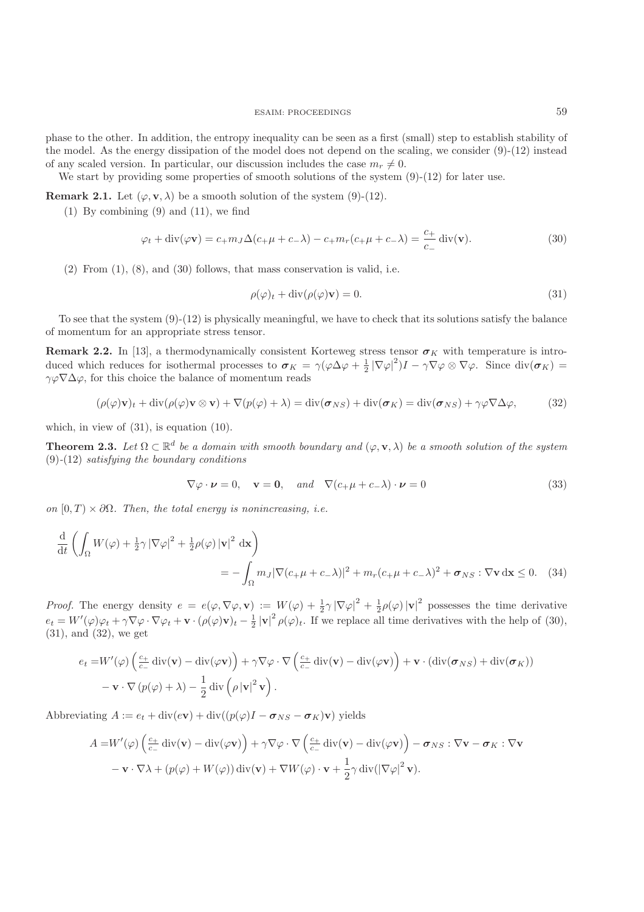phase to the other. In addition, the entropy inequality can be seen as a first (small) step to establish stability of the model. As the energy dissipation of the model does not depend on the scaling, we consider (9)-(12) instead of any scaled version. In particular, our discussion includes the case  $m_r \neq 0$ .

We start by providing some properties of smooth solutions of the system  $(9)-(12)$  for later use.

**Remark 2.1.** Let  $(\varphi, \mathbf{v}, \lambda)$  be a smooth solution of the system (9)-(12).

(1) By combining (9) and (11), we find

$$
\varphi_t + \operatorname{div}(\varphi \mathbf{v}) = c_+ m_J \Delta (c_+ \mu + c_- \lambda) - c_+ m_r (c_+ \mu + c_- \lambda) = \frac{c_+}{c_-} \operatorname{div}(\mathbf{v}). \tag{30}
$$

 $(2)$  From  $(1)$ ,  $(8)$ , and  $(30)$  follows, that mass conservation is valid, i.e.

$$
\rho(\varphi)_t + \operatorname{div}(\rho(\varphi)\mathbf{v}) = 0. \tag{31}
$$

To see that the system  $(9)-(12)$  is physically meaningful, we have to check that its solutions satisfy the balance of momentum for an appropriate stress tensor.

**Remark 2.2.** In [13], a thermodynamically consistent Korteweg stress tensor  $\sigma_K$  with temperature is introduced which reduces for isothermal processes to  $\sigma_K = \gamma(\varphi \Delta \varphi + \frac{1}{2} |\nabla \varphi|^2)I - \gamma \nabla \varphi \otimes \nabla \varphi$ . Since  $\text{div}(\sigma_K) =$  $\gamma\varphi\nabla\Delta\varphi$ , for this choice the balance of momentum reads

$$
(\rho(\varphi)\mathbf{v})_t + \operatorname{div}(\rho(\varphi)\mathbf{v} \otimes \mathbf{v}) + \nabla(p(\varphi) + \lambda) = \operatorname{div}(\boldsymbol{\sigma}_{NS}) + \operatorname{div}(\boldsymbol{\sigma}_{K}) = \operatorname{div}(\boldsymbol{\sigma}_{NS}) + \gamma \varphi \nabla \Delta \varphi, \tag{32}
$$

which, in view of  $(31)$ , is equation  $(10)$ .

**Theorem 2.3.** Let  $\Omega \subset \mathbb{R}^d$  be a domain with smooth boundary and  $(\varphi, \mathbf{v}, \lambda)$  be a smooth solution of the system  $(9)-(12)$  satisfying the boundary conditions

$$
\nabla \varphi \cdot \boldsymbol{\nu} = 0, \quad \mathbf{v} = \mathbf{0}, \quad \text{and} \quad \nabla (c_+ \mu + c_- \lambda) \cdot \boldsymbol{\nu} = 0 \tag{33}
$$

on  $[0, T] \times \partial \Omega$ . Then, the total energy is nonincreasing, i.e.

$$
\frac{d}{dt} \left( \int_{\Omega} W(\varphi) + \frac{1}{2} \gamma |\nabla \varphi|^2 + \frac{1}{2} \rho(\varphi) |\mathbf{v}|^2 d\mathbf{x} \right)
$$
\n
$$
= - \int_{\Omega} m_J |\nabla (c_+ \mu + c_- \lambda)|^2 + m_r (c_+ \mu + c_- \lambda)^2 + \sigma_{NS} : \nabla \mathbf{v} d\mathbf{x} \le 0. \quad (34)
$$

*Proof.* The energy density  $e = e(\varphi, \nabla \varphi, \mathbf{v}) := W(\varphi) + \frac{1}{2}\gamma |\nabla \varphi|^2 + \frac{1}{2}\rho(\varphi) |\mathbf{v}|^2$  possesses the time derivative  $e_t = W'(\varphi)\varphi_t + \gamma \nabla \varphi \cdot \nabla \varphi_t + \mathbf{v} \cdot (\rho(\varphi)\mathbf{v})_t - \frac{1}{2} |\mathbf{v}|^2 \rho(\varphi)_t$ . If we replace all time derivatives with the help of (30), (31), and (32), we get

$$
e_t = W'(\varphi) \left( \frac{c_+}{c_-} \operatorname{div}(\mathbf{v}) - \operatorname{div}(\varphi \mathbf{v}) \right) + \gamma \nabla \varphi \cdot \nabla \left( \frac{c_+}{c_-} \operatorname{div}(\mathbf{v}) - \operatorname{div}(\varphi \mathbf{v}) \right) + \mathbf{v} \cdot (\operatorname{div}(\boldsymbol{\sigma}_{NS}) + \operatorname{div}(\boldsymbol{\sigma}_{K}))
$$
  
-  $\mathbf{v} \cdot \nabla (p(\varphi) + \lambda) - \frac{1}{2} \operatorname{div} (\rho |\mathbf{v}|^2 \mathbf{v}).$ 

Abbreviating  $A := e_t + \text{div}(e\mathbf{v}) + \text{div}((p(\varphi)I - \boldsymbol{\sigma}_{NS} - \boldsymbol{\sigma}_{K})\mathbf{v})$  yields

$$
A = W'(\varphi) \left( \frac{c_+}{c_-} \operatorname{div}(\mathbf{v}) - \operatorname{div}(\varphi \mathbf{v}) \right) + \gamma \nabla \varphi \cdot \nabla \left( \frac{c_+}{c_-} \operatorname{div}(\mathbf{v}) - \operatorname{div}(\varphi \mathbf{v}) \right) - \sigma_{NS} : \nabla \mathbf{v} - \sigma_K : \nabla \mathbf{v}
$$

$$
-\mathbf{v} \cdot \nabla \lambda + (p(\varphi) + W(\varphi)) \operatorname{div}(\mathbf{v}) + \nabla W(\varphi) \cdot \mathbf{v} + \frac{1}{2} \gamma \operatorname{div}(|\nabla \varphi|^2 \mathbf{v}).
$$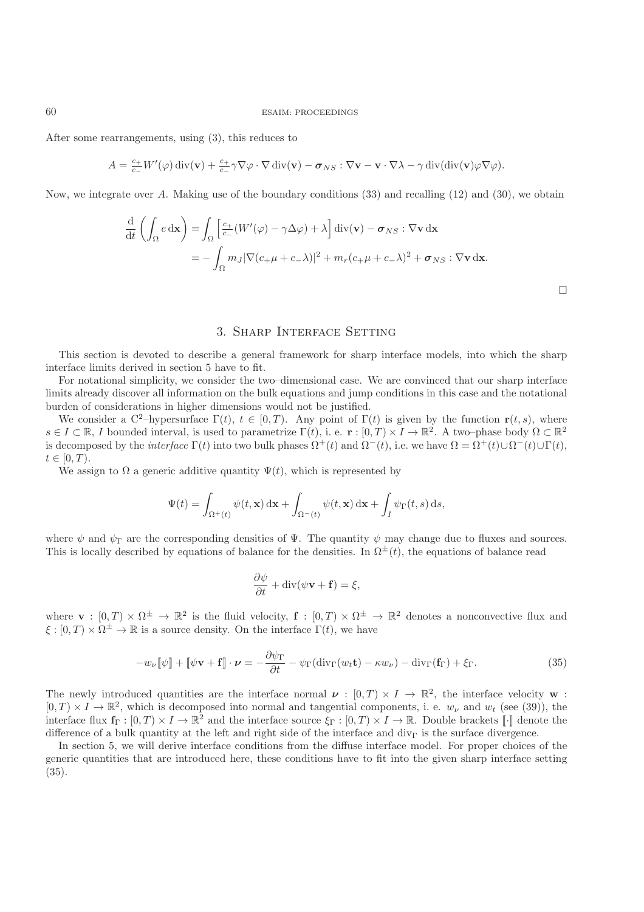After some rearrangements, using (3), this reduces to

$$
A = \frac{c_{+}}{c_{-}}W'(\varphi)\operatorname{div}(\mathbf{v}) + \frac{c_{+}}{c_{-}}\gamma\nabla\varphi\cdot\nabla\operatorname{div}(\mathbf{v}) - \boldsymbol{\sigma}_{NS}:\nabla\mathbf{v} - \mathbf{v}\cdot\nabla\lambda - \gamma\operatorname{div}(\operatorname{div}(\mathbf{v})\varphi\nabla\varphi).
$$

Now, we integrate over A. Making use of the boundary conditions  $(33)$  and recalling  $(12)$  and  $(30)$ , we obtain

$$
\frac{d}{dt} \left( \int_{\Omega} e \, d\mathbf{x} \right) = \int_{\Omega} \left[ \frac{c_{+}}{c_{-}} (W'(\varphi) - \gamma \Delta \varphi) + \lambda \right] \operatorname{div}(\mathbf{v}) - \boldsymbol{\sigma}_{NS} : \nabla \mathbf{v} \, d\mathbf{x}
$$
\n
$$
= - \int_{\Omega} m_{J} |\nabla (c_{+} \mu + c_{-} \lambda)|^{2} + m_{r} (c_{+} \mu + c_{-} \lambda)^{2} + \boldsymbol{\sigma}_{NS} : \nabla \mathbf{v} \, d\mathbf{x}.
$$

## 3. Sharp Interface Setting

This section is devoted to describe a general framework for sharp interface models, into which the sharp interface limits derived in section 5 have to fit.

For notational simplicity, we consider the two–dimensional case. We are convinced that our sharp interface limits already discover all information on the bulk equations and jump conditions in this case and the notational burden of considerations in higher dimensions would not be justified.

We consider a C<sup>2</sup>-hypersurface  $\Gamma(t)$ ,  $t \in [0, T)$ . Any point of  $\Gamma(t)$  is given by the function  $\mathbf{r}(t, s)$ , where  $s \in I \subset \mathbb{R}, I$  bounded interval, is used to parametrize  $\Gamma(t)$ , i. e.  $\mathbf{r} : [0, T) \times I \to \mathbb{R}^2$ . A two-phase body  $\Omega \subset \mathbb{R}^2$ is decomposed by the *interface*  $\Gamma(t)$  into two bulk phases  $\Omega^+(t)$  and  $\Omega^-(t)$ , i.e. we have  $\Omega = \Omega^+(t) \cup \Omega^-(t) \cup \Gamma(t)$ ,  $t\in[0,T)$ .

We assign to  $\Omega$  a generic additive quantity  $\Psi(t)$ , which is represented by

$$
\Psi(t)=\int_{\Omega^+(t)}\psi(t,{\bf x})\,\mathrm{d}{{\bf x}}+\int_{\Omega^-(t)}\psi(t,{\bf x})\,\mathrm{d}{{\bf x}}+\int_I\psi_\Gamma(t,s)\,\mathrm{d} s,
$$

where  $\psi$  and  $\psi_{\Gamma}$  are the corresponding densities of  $\Psi$ . The quantity  $\psi$  may change due to fluxes and sources. This is locally described by equations of balance for the densities. In  $\Omega^{\pm}(t)$ , the equations of balance read

$$
\frac{\partial \psi}{\partial t} + \text{div}(\psi \mathbf{v} + \mathbf{f}) = \xi,
$$

where  $\mathbf{v} : [0, T) \times \Omega^{\pm} \to \mathbb{R}^2$  is the fluid velocity,  $\mathbf{f} : [0, T) \times \Omega^{\pm} \to \mathbb{R}^2$  denotes a nonconvective flux and  $\xi : [0, T) \times \Omega^{\pm} \to \mathbb{R}$  is a source density. On the interface  $\Gamma(t)$ , we have

$$
-w_{\nu}[\![\psi]\!] + [\![\psi \mathbf{v} + \mathbf{f}]\!] \cdot \nu = -\frac{\partial \psi_{\Gamma}}{\partial t} - \psi_{\Gamma}(\text{div}_{\Gamma}(w_t \mathbf{t}) - \kappa w_{\nu}) - \text{div}_{\Gamma}(\mathbf{f}_{\Gamma}) + \xi_{\Gamma}.
$$
 (35)

The newly introduced quantities are the interface normal  $\nu : [0, T) \times I \to \mathbb{R}^2$ , the interface velocity w:  $[0, T] \times I \to \mathbb{R}^2$ , which is decomposed into normal and tangential components, i. e.  $w_{\nu}$  and  $w_t$  (see (39)), the interface flux  $f_{\Gamma} : [0, T) \times I \to \mathbb{R}^2$  and the interface source  $\xi_{\Gamma} : [0, T) \times I \to \mathbb{R}$ . Double brackets [i] denote the difference of a bulk quantity at the left and right side of the interface and div<sub>Γ</sub> is the surface divergence.

In section 5, we will derive interface conditions from the diffuse interface model. For proper choices of the generic quantities that are introduced here, these conditions have to fit into the given sharp interface setting (35).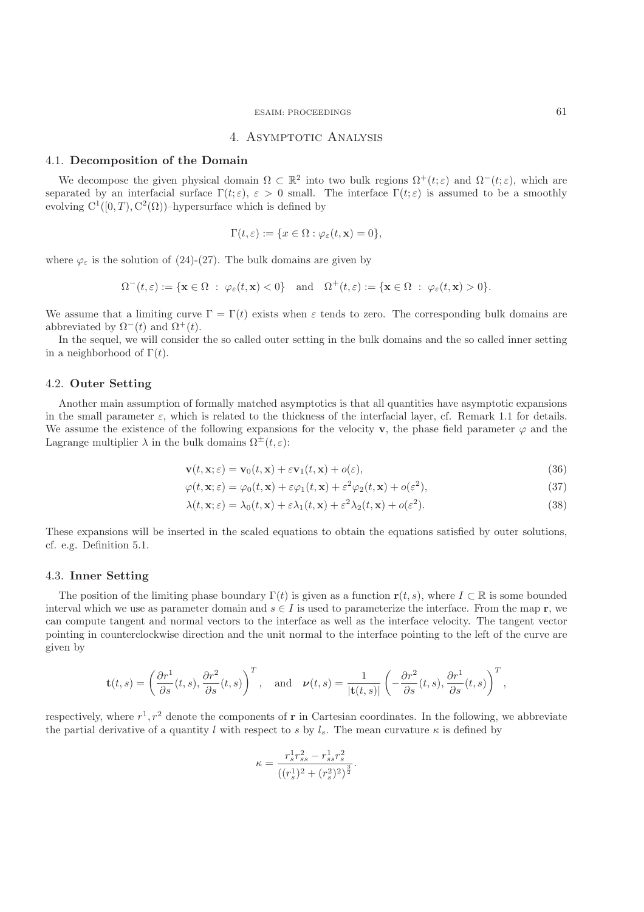## 4. ASYMPTOTIC ANALYSIS

## 4.1. Decomposition of the Domain

We decompose the given physical domain  $\Omega \subset \mathbb{R}^2$  into two bulk regions  $\Omega^+(t;\varepsilon)$  and  $\Omega^-(t;\varepsilon)$ , which are separated by an interfacial surface  $\Gamma(t;\varepsilon)$ ,  $\varepsilon > 0$  small. The interface  $\Gamma(t;\varepsilon)$  is assumed to be a smoothly evolving  $C^1([0,T), C^2(\Omega))$ -hypersurface which is defined by

$$
\Gamma(t,\varepsilon):=\{x\in\Omega:\varphi_\varepsilon(t,{\bf x})=0\},
$$

where  $\varphi_{\varepsilon}$  is the solution of (24)-(27). The bulk domains are given by

$$
\Omega^-(t,\varepsilon) := \{ \mathbf{x} \in \Omega \; : \; \varphi_{\varepsilon}(t,\mathbf{x}) < 0 \} \quad \text{and} \quad \Omega^+(t,\varepsilon) := \{ \mathbf{x} \in \Omega \; : \; \varphi_{\varepsilon}(t,\mathbf{x}) > 0 \}.
$$

We assume that a limiting curve  $\Gamma = \Gamma(t)$  exists when  $\varepsilon$  tends to zero. The corresponding bulk domains are abbreviated by  $\Omega^{-}(t)$  and  $\Omega^{+}(t)$ .

In the sequel, we will consider the so called outer setting in the bulk domains and the so called inner setting in a neighborhood of  $\Gamma(t)$ .

## 4.2. Outer Setting

Another main assumption of formally matched asymptotics is that all quantities have asymptotic expansions in the small parameter  $\varepsilon$ , which is related to the thickness of the interfacial layer, cf. Remark 1.1 for details. We assume the existence of the following expansions for the velocity v, the phase field parameter  $\varphi$  and the Lagrange multiplier  $\lambda$  in the bulk domains  $\Omega^{\pm}(t,\varepsilon)$ :

$$
\mathbf{v}(t, \mathbf{x}; \varepsilon) = \mathbf{v}_0(t, \mathbf{x}) + \varepsilon \mathbf{v}_1(t, \mathbf{x}) + o(\varepsilon), \tag{36}
$$

$$
\varphi(t, \mathbf{x}; \varepsilon) = \varphi_0(t, \mathbf{x}) + \varepsilon \varphi_1(t, \mathbf{x}) + \varepsilon^2 \varphi_2(t, \mathbf{x}) + o(\varepsilon^2),
$$
\n(37)

$$
\lambda(t, \mathbf{x}; \varepsilon) = \lambda_0(t, \mathbf{x}) + \varepsilon \lambda_1(t, \mathbf{x}) + \varepsilon^2 \lambda_2(t, \mathbf{x}) + o(\varepsilon^2). \tag{38}
$$

These expansions will be inserted in the scaled equations to obtain the equations satisfied by outer solutions, cf. e.g. Definition 5.1.

#### 4.3. Inner Setting

The position of the limiting phase boundary  $\Gamma(t)$  is given as a function  $\mathbf{r}(t, s)$ , where  $I \subset \mathbb{R}$  is some bounded interval which we use as parameter domain and  $s \in I$  is used to parameterize the interface. From the map **r**, we can compute tangent and normal vectors to the interface as well as the interface velocity. The tangent vector pointing in counterclockwise direction and the unit normal to the interface pointing to the left of the curve are given by

$$
\mathbf{t}(t,s)=\left(\frac{\partial r^1}{\partial s}(t,s),\frac{\partial r^2}{\partial s}(t,s)\right)^T, \quad \text{and} \quad \boldsymbol{\nu}(t,s)=\frac{1}{|\mathbf{t}(t,s)|}\left(-\frac{\partial r^2}{\partial s}(t,s),\frac{\partial r^1}{\partial s}(t,s)\right)^T,
$$

respectively, where  $r^1, r^2$  denote the components of **r** in Cartesian coordinates. In the following, we abbreviate the partial derivative of a quantity l with respect to s by l<sub>s</sub>. The mean curvature  $\kappa$  is defined by

$$
\kappa = \frac{r_s^1 r_{ss}^2 - r_{ss}^1 r_s^2}{\left( (r_s^1)^2 + (r_s^2)^2 \right)^{\frac{3}{2}}}.
$$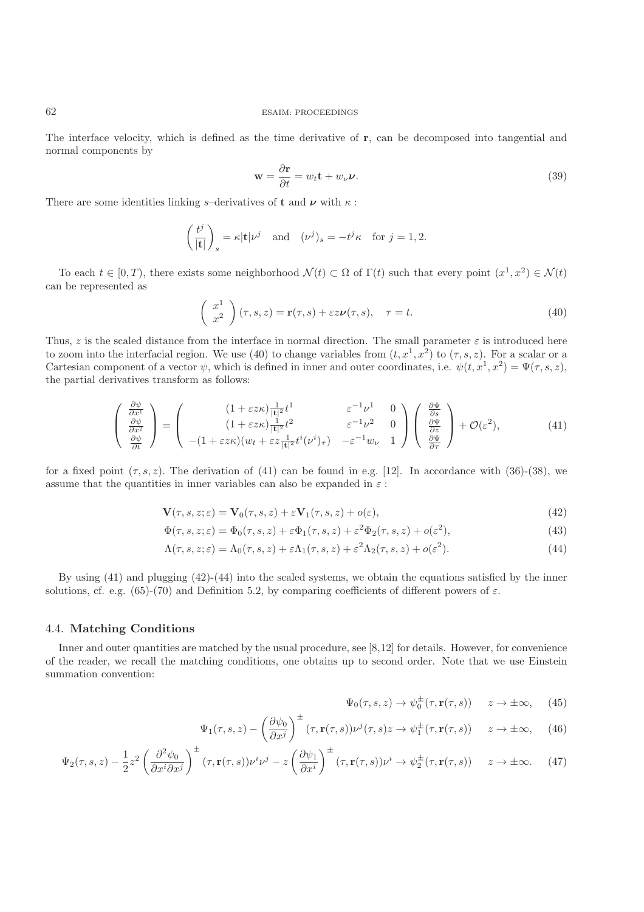The interface velocity, which is defined as the time derivative of r, can be decomposed into tangential and normal components by

$$
\mathbf{w} = \frac{\partial \mathbf{r}}{\partial t} = w_t \mathbf{t} + w_\nu \boldsymbol{\nu}.
$$
 (39)

There are some identities linking s-derivatives of **t** and  $\nu$  with  $\kappa$ :

$$
\left(\frac{t^j}{|\mathbf{t}|}\right)_s = \kappa |\mathbf{t}| \nu^j \quad \text{and} \quad (\nu^j)_s = -t^j \kappa \quad \text{for } j = 1, 2.
$$

To each  $t \in [0, T)$ , there exists some neighborhood  $\mathcal{N}(t) \subset \Omega$  of  $\Gamma(t)$  such that every point  $(x^1, x^2) \in \mathcal{N}(t)$ can be represented as

$$
\begin{pmatrix} x^1 \\ x^2 \end{pmatrix} (\tau, s, z) = \mathbf{r}(\tau, s) + \varepsilon z \mathbf{\nu}(\tau, s), \quad \tau = t.
$$
 (40)

Thus, z is the scaled distance from the interface in normal direction. The small parameter  $\varepsilon$  is introduced here to zoom into the interfacial region. We use (40) to change variables from  $(t, x^1, x^2)$  to  $(\tau, s, z)$ . For a scalar or a Cartesian component of a vector  $\psi$ , which is defined in inner and outer coordinates, i.e.  $\psi(t, x^1, x^2) = \Psi(\tau, s, z)$ , the partial derivatives transform as follows:

$$
\begin{pmatrix}\n\frac{\partial \psi}{\partial x^{1}} \\
\frac{\partial \psi}{\partial x^{2}} \\
\frac{\partial \psi}{\partial t}\n\end{pmatrix} = \begin{pmatrix}\n(1 + \varepsilon z \kappa) \frac{1}{|\mathbf{t}|^{2}} t^{1} & \varepsilon^{-1} \nu^{1} & 0 \\
(1 + \varepsilon z \kappa) \frac{1}{|\mathbf{t}|^{2}} t^{2} & \varepsilon^{-1} \nu^{2} & 0 \\
-(1 + \varepsilon z \kappa) (w_{t} + \varepsilon z \frac{1}{|\mathbf{t}|^{2}} t^{i} (\nu^{i})_{\tau}) & -\varepsilon^{-1} w_{\nu} & 1\n\end{pmatrix} \begin{pmatrix}\n\frac{\partial \Psi}{\partial s} \\
\frac{\partial \Psi}{\partial z} \\
\frac{\partial \Psi}{\partial \tau}\n\end{pmatrix} + \mathcal{O}(\varepsilon^{2}),
$$
\n(41)

for a fixed point  $(\tau, s, z)$ . The derivation of (41) can be found in e.g. [12]. In accordance with (36)-(38), we assume that the quantities in inner variables can also be expanded in  $\varepsilon$ :

$$
\mathbf{V}(\tau,s,z;\varepsilon) = \mathbf{V}_0(\tau,s,z) + \varepsilon \mathbf{V}_1(\tau,s,z) + o(\varepsilon),\tag{42}
$$

$$
\Phi(\tau, s, z; \varepsilon) = \Phi_0(\tau, s, z) + \varepsilon \Phi_1(\tau, s, z) + \varepsilon^2 \Phi_2(\tau, s, z) + o(\varepsilon^2), \tag{43}
$$

$$
\Lambda(\tau, s, z; \varepsilon) = \Lambda_0(\tau, s, z) + \varepsilon \Lambda_1(\tau, s, z) + \varepsilon^2 \Lambda_2(\tau, s, z) + o(\varepsilon^2). \tag{44}
$$

By using (41) and plugging (42)-(44) into the scaled systems, we obtain the equations satisfied by the inner solutions, cf. e.g. (65)-(70) and Definition 5.2, by comparing coefficients of different powers of  $\varepsilon$ .

#### 4.4. Matching Conditions

Inner and outer quantities are matched by the usual procedure, see [8,12] for details. However, for convenience of the reader, we recall the matching conditions, one obtains up to second order. Note that we use Einstein summation convention:

$$
\Psi_0(\tau, s, z) \to \psi_0^{\pm}(\tau, \mathbf{r}(\tau, s)) \quad z \to \pm \infty, \quad (45)
$$

$$
\Psi_1(\tau, s, z) - \left(\frac{\partial \psi_0}{\partial x^j}\right)^{\pm} (\tau, \mathbf{r}(\tau, s)) \nu^j(\tau, s) z \to \psi_1^{\pm}(\tau, \mathbf{r}(\tau, s)) \quad z \to \pm \infty, \quad (46)
$$

$$
\Psi_2(\tau, s, z) - \frac{1}{2} z^2 \left( \frac{\partial^2 \psi_0}{\partial x^i \partial x^j} \right)^{\pm} (\tau, \mathbf{r}(\tau, s)) \nu^i \nu^j - z \left( \frac{\partial \psi_1}{\partial x^i} \right)^{\pm} (\tau, \mathbf{r}(\tau, s)) \nu^i \rightarrow \psi_2^{\pm}(\tau, \mathbf{r}(\tau, s)) \qquad z \rightarrow \pm \infty. \tag{47}
$$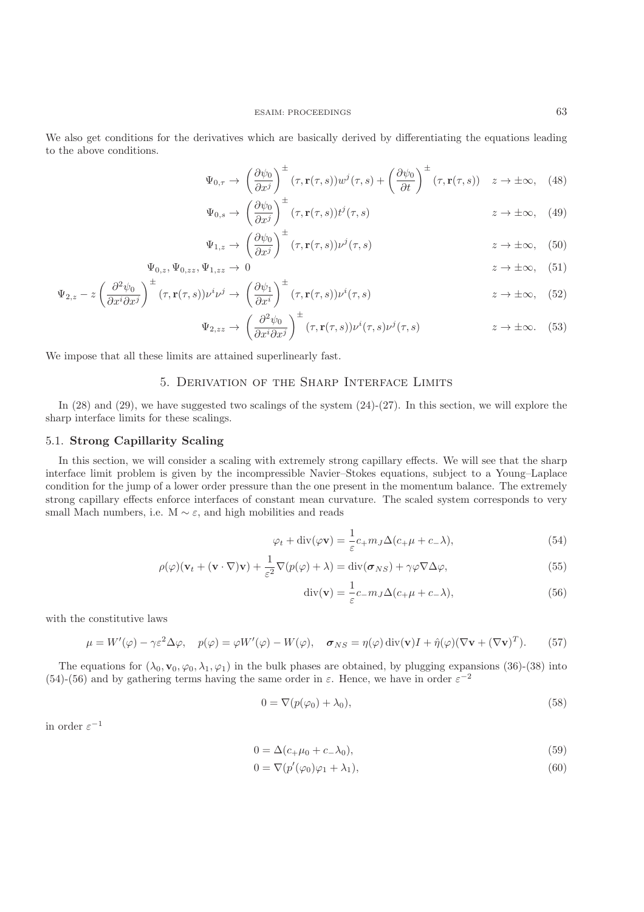We also get conditions for the derivatives which are basically derived by differentiating the equations leading to the above conditions.

$$
\Psi_{0,\tau} \to \left(\frac{\partial \psi_0}{\partial x^j}\right)^{\pm} (\tau, \mathbf{r}(\tau, s)) w^j(\tau, s) + \left(\frac{\partial \psi_0}{\partial t}\right)^{\pm} (\tau, \mathbf{r}(\tau, s)) \quad z \to \pm \infty, \quad (48)
$$

$$
\Psi_{0,s} \to \left(\frac{\partial \psi_0}{\partial x^j}\right)^{\pm} (\tau, \mathbf{r}(\tau, s)) t^j(\tau, s) \qquad z \to \pm \infty, \quad (49)
$$

$$
\Psi_{1,z} \to \left(\frac{\partial \psi_0}{\partial x^j}\right)^{\pm} (\tau, \mathbf{r}(\tau, s)) \nu^j(\tau, s) \qquad z \to \pm \infty, \quad (50)
$$

$$
\Psi_{0,z}, \Psi_{0,zz}, \Psi_{1,zz} \to 0 \qquad z \to \pm \infty, \quad (51)
$$

$$
\Psi_{2,z} - z \left( \frac{\partial^2 \psi_0}{\partial x^i \partial x^j} \right)^{\pm} (\tau, \mathbf{r}(\tau, s)) \nu^i \nu^j \to \left( \frac{\partial \psi_1}{\partial x^i} \right)^{\pm} (\tau, \mathbf{r}(\tau, s)) \nu^i(\tau, s) \qquad z \to \pm \infty, \quad (52)
$$

$$
\Psi_{2,zz} \to \left(\frac{\partial^2 \psi_0}{\partial x^i \partial x^j}\right)^{\pm} (\tau, \mathbf{r}(\tau, s)) \nu^i(\tau, s) \nu^j(\tau, s) \qquad z \to \pm \infty. \quad (53)
$$

We impose that all these limits are attained superlinearly fast.

## 5. Derivation of the Sharp Interface Limits

In (28) and (29), we have suggested two scalings of the system (24)-(27). In this section, we will explore the sharp interface limits for these scalings.

## 5.1. Strong Capillarity Scaling

In this section, we will consider a scaling with extremely strong capillary effects. We will see that the sharp interface limit problem is given by the incompressible Navier–Stokes equations, subject to a Young–Laplace condition for the jump of a lower order pressure than the one present in the momentum balance. The extremely strong capillary effects enforce interfaces of constant mean curvature. The scaled system corresponds to very small Mach numbers, i.e.  $M \sim \varepsilon$ , and high mobilities and reads

$$
\varphi_t + \operatorname{div}(\varphi \mathbf{v}) = \frac{1}{\varepsilon} c_+ m_J \Delta (c_+ \mu + c_- \lambda), \tag{54}
$$

$$
\rho(\varphi)(\mathbf{v}_t + (\mathbf{v} \cdot \nabla)\mathbf{v}) + \frac{1}{\varepsilon^2} \nabla(p(\varphi) + \lambda) = \text{div}(\boldsymbol{\sigma}_{NS}) + \gamma \varphi \nabla \Delta \varphi,
$$
\n(55)

$$
\operatorname{div}(\mathbf{v}) = \frac{1}{\varepsilon} c_- m_J \Delta (c_+ \mu + c_- \lambda),\tag{56}
$$

with the constitutive laws

$$
\mu = W'(\varphi) - \gamma \varepsilon^2 \Delta \varphi, \quad p(\varphi) = \varphi W'(\varphi) - W(\varphi), \quad \sigma_{NS} = \eta(\varphi) \operatorname{div}(\mathbf{v}) I + \hat{\eta}(\varphi) (\nabla \mathbf{v} + (\nabla \mathbf{v})^T). \tag{57}
$$

The equations for  $(\lambda_0, \mathbf{v}_0, \varphi_0, \lambda_1, \varphi_1)$  in the bulk phases are obtained, by plugging expansions (36)-(38) into (54)-(56) and by gathering terms having the same order in  $\varepsilon$ . Hence, we have in order  $\varepsilon^{-2}$ 

$$
0 = \nabla (p(\varphi_0) + \lambda_0), \tag{58}
$$

in order  $\varepsilon^{-1}$ 

$$
0 = \Delta(c_{+}\mu_0 + c_{-}\lambda_0),\tag{59}
$$

$$
0 = \nabla (p'(\varphi_0)\varphi_1 + \lambda_1), \tag{60}
$$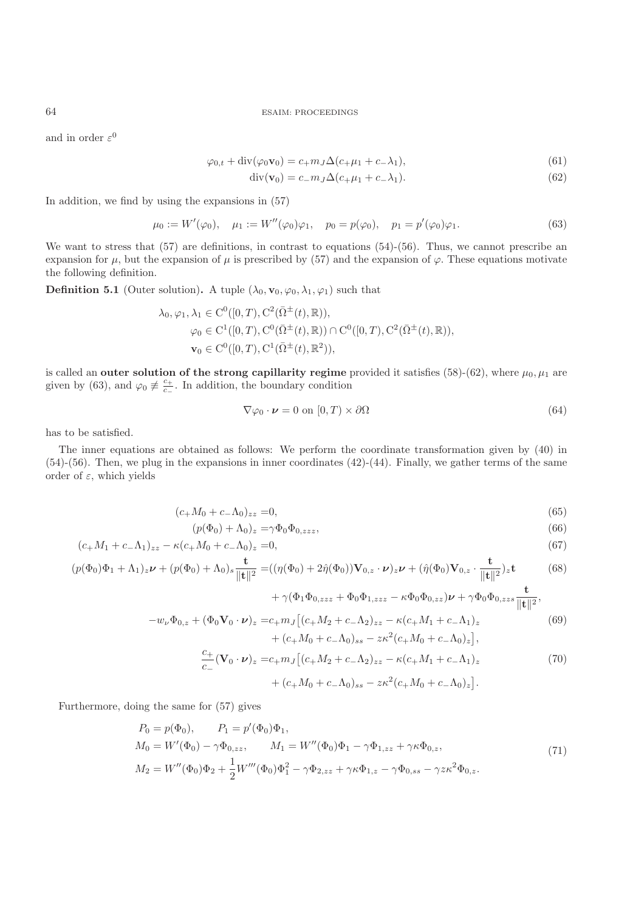and in order  $\varepsilon^0$ 

$$
\varphi_{0,t} + \operatorname{div}(\varphi_0 \mathbf{v}_0) = c_+ m_J \Delta (c_+ \mu_1 + c_- \lambda_1), \tag{61}
$$

$$
\operatorname{div}(\mathbf{v}_0) = c_- m_J \Delta (c_+ \mu_1 + c_- \lambda_1). \tag{62}
$$

In addition, we find by using the expansions in (57)

$$
\mu_0 := W'(\varphi_0), \quad \mu_1 := W''(\varphi_0)\varphi_1, \quad p_0 = p(\varphi_0), \quad p_1 = p'(\varphi_0)\varphi_1.
$$
\n(63)

We want to stress that  $(57)$  are definitions, in contrast to equations  $(54)-(56)$ . Thus, we cannot prescribe an expansion for  $\mu$ , but the expansion of  $\mu$  is prescribed by (57) and the expansion of  $\varphi$ . These equations motivate the following definition.

**Definition 5.1** (Outer solution). A tuple  $(\lambda_0, \mathbf{v}_0, \varphi_0, \lambda_1, \varphi_1)$  such that

$$
\lambda_0, \varphi_1, \lambda_1 \in C^0([0, T), C^2(\bar{\Omega}^{\pm}(t), \mathbb{R})), \varphi_0 \in C^1([0, T), C^0(\bar{\Omega}^{\pm}(t), \mathbb{R})) \cap C^0([0, T), C^2(\bar{\Omega}^{\pm}(t), \mathbb{R})), \mathbf{v}_0 \in C^0([0, T), C^1(\bar{\Omega}^{\pm}(t), \mathbb{R}^2)),
$$

is called an outer solution of the strong capillarity regime provided it satisfies (58)-(62), where  $\mu_0, \mu_1$  are given by (63), and  $\varphi_0 \not\equiv \frac{c_+}{c_-}$  $\frac{c_{+}}{c_{-}}$ . In addition, the boundary condition

$$
\nabla \varphi_0 \cdot \boldsymbol{\nu} = 0 \text{ on } [0, T) \times \partial \Omega \tag{64}
$$

has to be satisfied.

The inner equations are obtained as follows: We perform the coordinate transformation given by (40) in  $(54)-(56)$ . Then, we plug in the expansions in inner coordinates  $(42)-(44)$ . Finally, we gather terms of the same order of  $\varepsilon$ , which yields

$$
(c_{+}M_0 + c_{-}\Lambda_0)_{zz} = 0,\t\t(65)
$$

$$
(p(\Phi_0) + \Lambda_0)_z = \gamma \Phi_0 \Phi_{0, zzz},\tag{66}
$$

$$
(c_{+}M_1 + c_{-}\Lambda_1)_{zz} - \kappa (c_{+}M_0 + c_{-}\Lambda_0)_{z} = 0,
$$
\n(67)

$$
(p(\Phi_0)\Phi_1 + \Lambda_1)_z \nu + (p(\Phi_0) + \Lambda_0)_s \frac{\mathbf{t}}{\|\mathbf{t}\|^2} = ((\eta(\Phi_0) + 2\hat{\eta}(\Phi_0))\mathbf{V}_{0,z} \cdot \nu)_z \nu + (\hat{\eta}(\Phi_0)\mathbf{V}_{0,z} \cdot \frac{\mathbf{t}}{\|\mathbf{t}\|^2})_z \mathbf{t} \tag{68}
$$
  
+  $\gamma(\Phi_1 \Phi_{0,zzz} + \Phi_0 \Phi_{1,zzz} - \kappa \Phi_0 \Phi_{0,zz}) \nu + \gamma \Phi_0 \Phi_{0,zzs} \frac{\mathbf{t}}{\|\mathbf{t}\|^2},$ 

$$
+ \gamma (\Phi_1 \Phi_{0,zzz} + \Phi_0 \Phi_{1,zzz} - \kappa \Phi_0 \Phi_{0,zz}) \nu + \gamma \Phi_0 \Phi_{0,zzs} \frac{\partial}{\partial t}
$$
  

$$
- w_{\nu} \Phi_{0,z} + (\Phi_0 \mathbf{V}_0 \cdot \nu)_z = c_+ m_J \left[ (c_+ M_2 + c_- \Lambda_2)_{zz} - \kappa (c_+ M_1 + c_- \Lambda_1)_z + (c_+ M_0 + c_- \Lambda_0)_{ss} - z \kappa^2 (c_+ M_0 + c_- \Lambda_0)_z \right],
$$
 (69)

$$
\frac{c_+}{c_-} (\mathbf{V}_0 \cdot \boldsymbol{\nu})_z = c_+ m_J \left[ (c_+ M_2 + c_- \Lambda_2)_{zz} - \kappa (c_+ M_1 + c_- \Lambda_1)_z + (c_+ M_0 + c_- \Lambda_0)_{ss} - z \kappa^2 (c_+ M_0 + c_- \Lambda_0)_z \right].
$$
\n(70)

Furthermore, doing the same for (57) gives

$$
P_0 = p(\Phi_0), \qquad P_1 = p'(\Phi_0)\Phi_1,
$$
  
\n
$$
M_0 = W'(\Phi_0) - \gamma \Phi_{0,zz}, \qquad M_1 = W''(\Phi_0)\Phi_1 - \gamma \Phi_{1,zz} + \gamma \kappa \Phi_{0,z},
$$
  
\n
$$
M_2 = W''(\Phi_0)\Phi_2 + \frac{1}{2}W'''(\Phi_0)\Phi_1^2 - \gamma \Phi_{2,zz} + \gamma \kappa \Phi_{1,z} - \gamma \Phi_{0,ss} - \gamma z \kappa^2 \Phi_{0,z}.
$$
\n(71)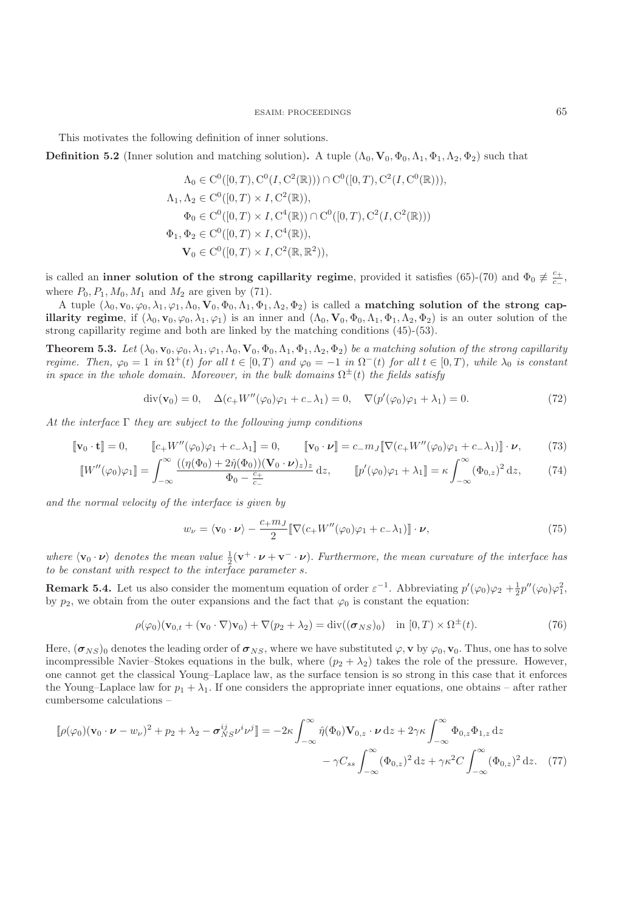This motivates the following definition of inner solutions.

**Definition 5.2** (Inner solution and matching solution). A tuple  $(\Lambda_0, \mathbf{V}_0, \Phi_0, \Lambda_1, \Phi_1, \Lambda_2, \Phi_2)$  such that

$$
\Lambda_0 \in C^0([0, T), C^0(I, C^2(\mathbb{R}))) \cap C^0([0, T), C^2(I, C^0(\mathbb{R}))),
$$
  
\n
$$
\Lambda_1, \Lambda_2 \in C^0([0, T) \times I, C^2(\mathbb{R})),
$$
  
\n
$$
\Phi_0 \in C^0([0, T) \times I, C^4(\mathbb{R})) \cap C^0([0, T), C^2(I, C^2(\mathbb{R})))
$$
  
\n
$$
\Phi_1, \Phi_2 \in C^0([0, T) \times I, C^4(\mathbb{R})),
$$
  
\n
$$
\mathbf{V}_0 \in C^0([0, T) \times I, C^2(\mathbb{R}, \mathbb{R}^2)),
$$

is called an inner solution of the strong capillarity regime, provided it satisfies (65)-(70) and  $\Phi_0 \neq \frac{c_+}{c_-}$  $\frac{c_{+}}{c_{-}},$ where  $P_0, P_1, M_0, M_1$  and  $M_2$  are given by (71).

A tuple  $(\lambda_0, \mathbf{v}_0, \varphi_0, \lambda_1, \varphi_1, \Lambda_0, \mathbf{V}_0, \Phi_0, \Lambda_1, \Phi_1, \Lambda_2, \Phi_2)$  is called a **matching solution of the strong cap**illarity regime, if  $(\lambda_0, \mathbf{v}_0, \varphi_0, \lambda_1, \varphi_1)$  is an inner and  $(\Lambda_0, \mathbf{V}_0, \Phi_0, \Lambda_1, \Phi_1, \Lambda_2, \Phi_2)$  is an outer solution of the strong capillarity regime and both are linked by the matching conditions (45)-(53).

**Theorem 5.3.** Let  $(\lambda_0, \mathbf{v}_0, \varphi_0, \lambda_1, \varphi_1, \Lambda_0, \mathbf{V}_0, \Phi_0, \Lambda_1, \Phi_1, \Lambda_2, \Phi_2)$  be a matching solution of the strong capillarity regime. Then,  $\varphi_0 = 1$  in  $\Omega^+(t)$  for all  $t \in [0,T)$  and  $\varphi_0 = -1$  in  $\Omega^-(t)$  for all  $t \in [0,T)$ , while  $\lambda_0$  is constant in space in the whole domain. Moreover, in the bulk domains  $\Omega^{\pm}(t)$  the fields satisfy

div(**v**<sub>0</sub>) = 0,  $\Delta(c_{+}W''(\varphi_0)\varphi_1 + c_{-}\lambda_1) = 0$ ,  $\nabla(p'(\varphi_0)\varphi_1 + \lambda_1) = 0$ . (72)

At the interface  $\Gamma$  they are subject to the following jump conditions

$$
\[\mathbf{v}_0 \cdot \mathbf{t}\] = 0, \qquad \[\![c_+ W''(\varphi_0)\varphi_1 + c_- \lambda_1]\!] = 0, \qquad \[\mathbf{v}_0 \cdot \boldsymbol{\nu}\] = c_- m_J \[\![\nabla (c_+ W''(\varphi_0)\varphi_1 + c_- \lambda_1)]\!] \cdot \boldsymbol{\nu}, \tag{73}
$$

$$
\llbracket W''(\varphi_0)\varphi_1 \rrbracket = \int_{-\infty}^{\infty} \frac{\left( (\eta(\Phi_0) + 2\hat{\eta}(\Phi_0))(\mathbf{V}_0 \cdot \boldsymbol{\nu})_z \right)_z}{\Phi_0 - \frac{c_+}{c_-}} \,\mathrm{d}z, \qquad \llbracket p'(\varphi_0)\varphi_1 + \lambda_1 \rrbracket = \kappa \int_{-\infty}^{\infty} (\Phi_{0,z})^2 \,\mathrm{d}z,\tag{74}
$$

and the normal velocity of the interface is given by

$$
w_{\nu} = \langle \mathbf{v}_0 \cdot \boldsymbol{\nu} \rangle - \frac{c_+ m_J}{2} \llbracket \nabla (c_+ W''(\varphi_0) \varphi_1 + c_- \lambda_1) \rrbracket \cdot \boldsymbol{\nu},\tag{75}
$$

where  $\langle v_0 \cdot \nu \rangle$  denotes the mean value  $\frac{1}{2}(\mathbf{v}^+ \cdot \mathbf{\nu} + \mathbf{v}^- \cdot \mathbf{\nu})$ . Furthermore, the mean curvature of the interface has to be constant with respect to the interface parameter s.

**Remark 5.4.** Let us also consider the momentum equation of order  $\varepsilon^{-1}$ . Abbreviating  $p'(\varphi_0)\varphi_2 + \frac{1}{2}p''(\varphi_0)\varphi_1^2$ , by  $p_2$ , we obtain from the outer expansions and the fact that  $\varphi_0$  is constant the equation:

$$
\rho(\varphi_0)(\mathbf{v}_{0,t} + (\mathbf{v}_0 \cdot \nabla)\mathbf{v}_0) + \nabla(p_2 + \lambda_2) = \text{div}((\boldsymbol{\sigma}_{NS})_0) \quad \text{in } [0,T) \times \Omega^{\pm}(t). \tag{76}
$$

Here,  $(\sigma_{NS})_0$  denotes the leading order of  $\sigma_{NS}$ , where we have substituted  $\varphi$ , v by  $\varphi_0$ ,  $\mathbf{v}_0$ . Thus, one has to solve incompressible Navier–Stokes equations in the bulk, where  $(p_2 + \lambda_2)$  takes the role of the pressure. However, one cannot get the classical Young–Laplace law, as the surface tension is so strong in this case that it enforces the Young–Laplace law for  $p_1 + \lambda_1$ . If one considers the appropriate inner equations, one obtains – after rather cumbersome calculations –

$$
\llbracket \rho(\varphi_0)(\mathbf{v}_0 \cdot \boldsymbol{\nu} - w_{\nu})^2 + p_2 + \lambda_2 - \sigma_{NS}^{ij} \nu^i \nu^j \rrbracket = -2\kappa \int_{-\infty}^{\infty} \hat{\eta}(\Phi_0) \mathbf{V}_{0,z} \cdot \boldsymbol{\nu} \, dz + 2\gamma \kappa \int_{-\infty}^{\infty} \Phi_{0,z} \Phi_{1,z} \, dz - \gamma C_{ss} \int_{-\infty}^{\infty} (\Phi_{0,z})^2 \, dz + \gamma \kappa^2 C \int_{-\infty}^{\infty} (\Phi_{0,z})^2 \, dz. \tag{77}
$$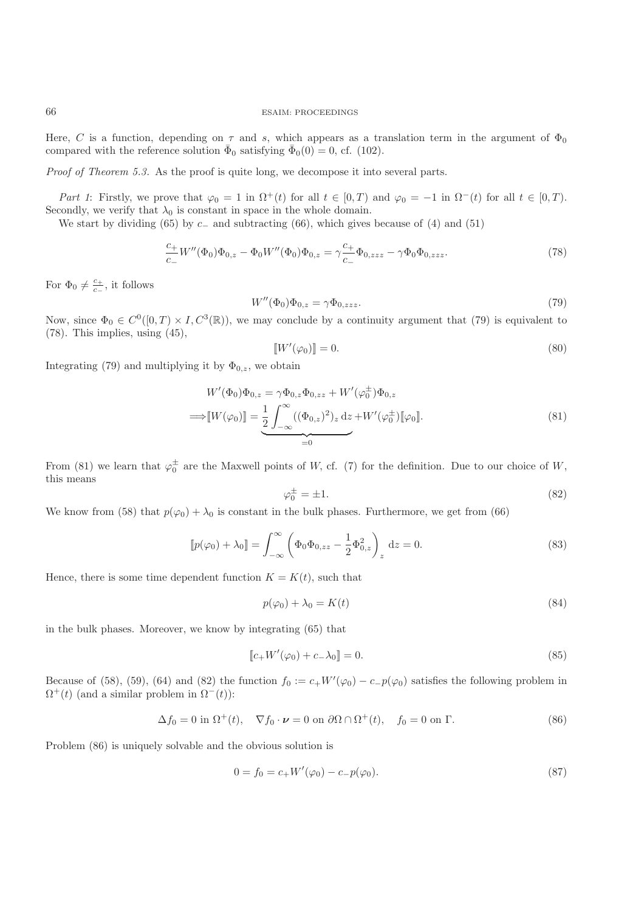Here, C is a function, depending on  $\tau$  and s, which appears as a translation term in the argument of  $\Phi_0$ compared with the reference solution  $\bar{\Phi}_0$  satisfying  $\bar{\Phi}_0(0) = 0$ , cf. (102).

Proof of Theorem 5.3. As the proof is quite long, we decompose it into several parts.

Part 1: Firstly, we prove that  $\varphi_0 = 1$  in  $\Omega^+(t)$  for all  $t \in [0,T)$  and  $\varphi_0 = -1$  in  $\Omega^-(t)$  for all  $t \in [0,T)$ . Secondly, we verify that  $\lambda_0$  is constant in space in the whole domain.

We start by dividing (65) by  $c_$  and subtracting (66), which gives because of (4) and (51)

$$
\frac{c_+}{c_-}W''(\Phi_0)\Phi_{0,z} - \Phi_0 W''(\Phi_0)\Phi_{0,z} = \gamma \frac{c_+}{c_-}\Phi_{0,zzz} - \gamma \Phi_0 \Phi_{0,zzz}.
$$
\n(78)

For  $\Phi_0 \neq \frac{c_+}{c_-}$  $\frac{c_+}{c_-}$ , it follows

$$
W''(\Phi_0)\Phi_{0,z} = \gamma \Phi_{0,zzz}.\tag{79}
$$

Now, since  $\Phi_0 \in C^0([0,T) \times I, C^3(\mathbb{R}))$ , we may conclude by a continuity argument that (79) is equivalent to (78). This implies, using (45),

$$
\llbracket W'(\varphi_0) \rrbracket = 0. \tag{80}
$$

Integrating (79) and multiplying it by  $\Phi_{0,z}$ , we obtain

$$
W'(\Phi_0)\Phi_{0,z} = \gamma \Phi_{0,z}\Phi_{0,zz} + W'(\varphi_0^{\pm})\Phi_{0,z}
$$
  
\n
$$
\Longrightarrow [W(\varphi_0)] = \underbrace{\frac{1}{2} \int_{-\infty}^{\infty} ((\Phi_{0,z})^2)_z dz}_{=0} + W'(\varphi_0^{\pm})[\varphi_0].
$$
\n(81)

From (81) we learn that  $\varphi_0^{\pm}$  are the Maxwell points of W, cf. (7) for the definition. Due to our choice of W, this means

$$
\varphi_0^{\pm} = \pm 1. \tag{82}
$$

We know from (58) that  $p(\varphi_0) + \lambda_0$  is constant in the bulk phases. Furthermore, we get from (66)

$$
[\![p(\varphi_0) + \lambda_0]\!] = \int_{-\infty}^{\infty} \left( \Phi_0 \Phi_{0,zz} - \frac{1}{2} \Phi_{0,z}^2 \right)_z dz = 0.
$$
\n(83)

Hence, there is some time dependent function  $K = K(t)$ , such that

$$
p(\varphi_0) + \lambda_0 = K(t) \tag{84}
$$

in the bulk phases. Moreover, we know by integrating (65) that

$$
\llbracket c_+ W'(\varphi_0) + c_- \lambda_0 \rrbracket = 0. \tag{85}
$$

Because of (58), (59), (64) and (82) the function  $f_0 := c_+ W'(\varphi_0) - c_- p(\varphi_0)$  satisfies the following problem in  $\Omega^+(t)$  (and a similar problem in  $\Omega^-(t)$ ):

$$
\Delta f_0 = 0 \text{ in } \Omega^+(t), \quad \nabla f_0 \cdot \boldsymbol{\nu} = 0 \text{ on } \partial \Omega \cap \Omega^+(t), \quad f_0 = 0 \text{ on } \Gamma. \tag{86}
$$

Problem (86) is uniquely solvable and the obvious solution is

$$
0 = f_0 = c_+ W'(\varphi_0) - c_- p(\varphi_0). \tag{87}
$$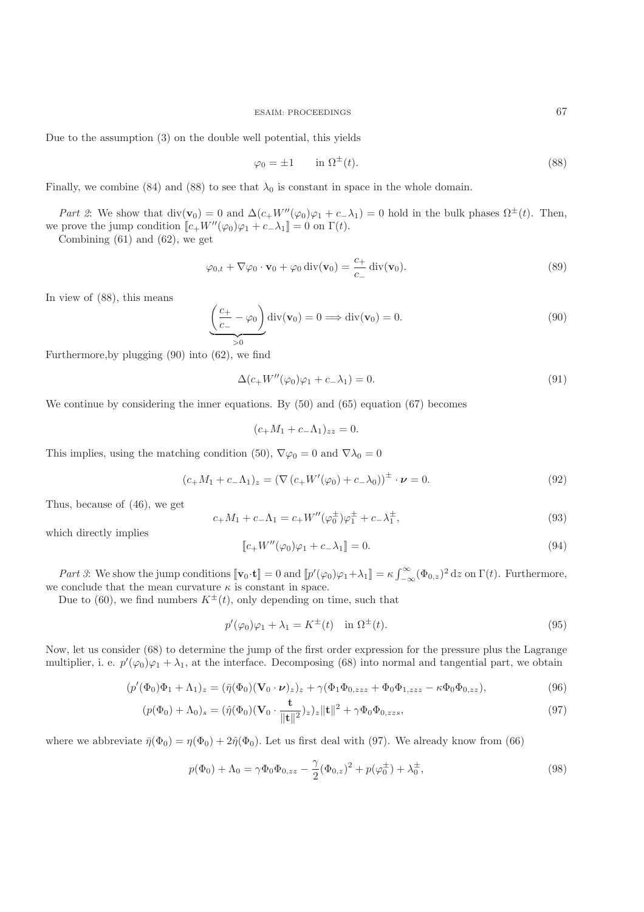Due to the assumption (3) on the double well potential, this yields

$$
\varphi_0 = \pm 1 \qquad \text{in } \Omega^{\pm}(t). \tag{88}
$$

Finally, we combine (84) and (88) to see that  $\lambda_0$  is constant in space in the whole domain.

Part 2: We show that  $\text{div}(\mathbf{v}_0) = 0$  and  $\Delta(c_+W''(\varphi_0)\varphi_1 + c_-\lambda_1) = 0$  hold in the bulk phases  $\Omega^{\pm}(t)$ . Then, we prove the jump condition  $[[c_+W''(\varphi_0)\varphi_1 + c_-\lambda_1]] = 0$  on  $\Gamma(t)$ .

Combining (61) and (62), we get

$$
\varphi_{0,t} + \nabla \varphi_0 \cdot \mathbf{v}_0 + \varphi_0 \operatorname{div}(\mathbf{v}_0) = \frac{c_+}{c_-} \operatorname{div}(\mathbf{v}_0). \tag{89}
$$

In view of (88), this means

$$
\underbrace{\left(\frac{c_+}{c_-} - \varphi_0\right)}_{>0} \operatorname{div}(\mathbf{v}_0) = 0 \Longrightarrow \operatorname{div}(\mathbf{v}_0) = 0. \tag{90}
$$

Furthermore,by plugging (90) into (62), we find

$$
\Delta(c_+W''(\varphi_0)\varphi_1+c_-\lambda_1)=0.\tag{91}
$$

We continue by considering the inner equations. By (50) and (65) equation (67) becomes

$$
(c_+M_1 + c_-\Lambda_1)_{zz} = 0.
$$

This implies, using the matching condition (50),  $\nabla \varphi_0 = 0$  and  $\nabla \lambda_0 = 0$ 

$$
(c_{+}M_{1} + c_{-}\Lambda_{1})_{z} = (\nabla (c_{+}W'(\varphi_{0}) + c_{-}\lambda_{0}))^{\pm} \cdot \nu = 0.
$$
\n(92)

Thus, because of (46), we get

$$
c_{+}M_{1} + c_{-}\Lambda_{1} = c_{+}W''(\varphi_{0}^{\pm})\varphi_{1}^{\pm} + c_{-}\lambda_{1}^{\pm},
$$
\n(93)

which directly implies

$$
\llbracket c_+ W''(\varphi_0)\varphi_1 + c_- \lambda_1 \rrbracket = 0. \tag{94}
$$

Part 3: We show the jump conditions  $[\![\mathbf{v}_0 \cdot \mathbf{t}]\!] = 0$  and  $[\![p'(\varphi_0)\varphi_1 + \lambda_1]\!] = \kappa \int_{-\infty}^{\infty} (\Phi_{0,z})^2 dz$  on  $\Gamma(t)$ . Furthermore, we conclude that the mean curvature  $\kappa$  is constant in space.

Due to (60), we find numbers  $K^{\pm}(t)$ , only depending on time, such that

$$
p'(\varphi_0)\varphi_1 + \lambda_1 = K^{\pm}(t) \quad \text{in } \Omega^{\pm}(t). \tag{95}
$$

Now, let us consider (68) to determine the jump of the first order expression for the pressure plus the Lagrange multiplier, i. e.  $p'(\varphi_0)\varphi_1 + \lambda_1$ , at the interface. Decomposing (68) into normal and tangential part, we obtain

$$
(p'(\Phi_0)\Phi_1 + \Lambda_1)_z = (\bar{\eta}(\Phi_0)(\mathbf{V}_0 \cdot \boldsymbol{\nu})_z)_z + \gamma(\Phi_1\Phi_{0,zzz} + \Phi_0\Phi_{1,zzz} - \kappa\Phi_0\Phi_{0,zz}),
$$
\n(96)

$$
(p(\Phi_0) + \Lambda_0)_s = (\hat{\eta}(\Phi_0)(\mathbf{V}_0 \cdot \frac{\mathbf{t}}{\|\mathbf{t}\|^2})_z)_z \|\mathbf{t}\|^2 + \gamma \Phi_0 \Phi_{0, zzs},
$$
\n
$$
(97)
$$

where we abbreviate  $\bar{\eta}(\Phi_0) = \eta(\Phi_0) + 2\hat{\eta}(\Phi_0)$ . Let us first deal with (97). We already know from (66)

$$
p(\Phi_0) + \Lambda_0 = \gamma \Phi_0 \Phi_{0,zz} - \frac{\gamma}{2} (\Phi_{0,z})^2 + p(\varphi_0^{\pm}) + \lambda_0^{\pm},
$$
\n(98)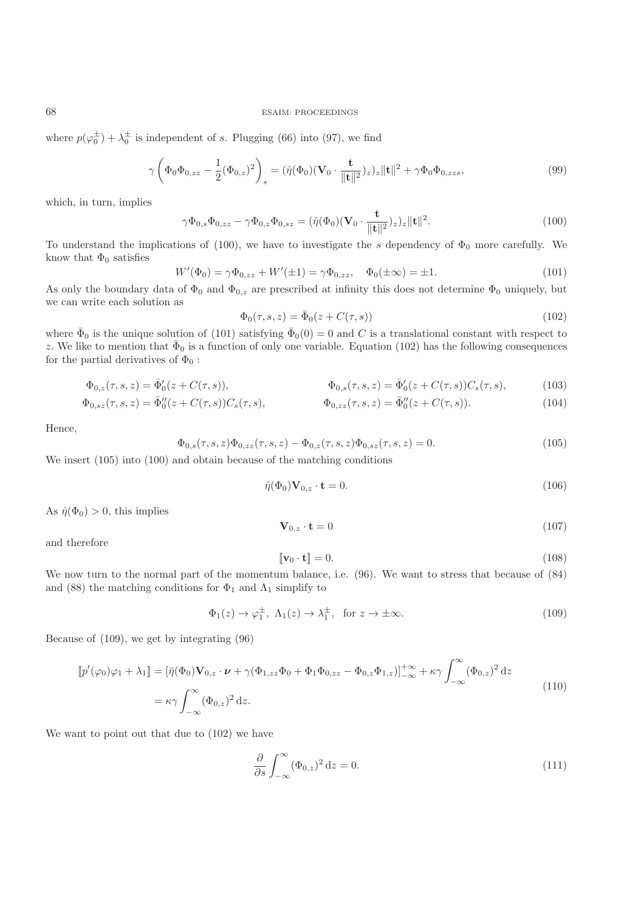where  $p(\varphi_0^{\pm}) + \lambda_0^{\pm}$  is independent of s. Plugging (66) into (97), we find

$$
\gamma \left( \Phi_0 \Phi_{0,zz} - \frac{1}{2} (\Phi_{0,z})^2 \right)_s = (\hat{\eta}(\Phi_0)(\mathbf{V}_0 \cdot \frac{\mathbf{t}}{\|\mathbf{t}\|^2})_z)_z \|\mathbf{t}\|^2 + \gamma \Phi_0 \Phi_{0,zzs},\tag{99}
$$

which, in turn, implies

$$
\gamma \Phi_{0,s} \Phi_{0,zz} - \gamma \Phi_{0,z} \Phi_{0,sz} = (\hat{\eta}(\Phi_0)(\mathbf{V}_0 \cdot \frac{\mathbf{t}}{\|\mathbf{t}\|^2})_z)_z \|\mathbf{t}\|^2.
$$
 (100)

To understand the implications of (100), we have to investigate the s dependency of  $\Phi_0$  more carefully. We know that  $\Phi_0$  satisfies

$$
W'(\Phi_0) = \gamma \Phi_{0,zz} + W'(\pm 1) = \gamma \Phi_{0,zz}, \quad \Phi_0(\pm \infty) = \pm 1.
$$
 (101)

As only the boundary data of  $\Phi_0$  and  $\Phi_{0,z}$  are prescribed at infinity this does not determine  $\Phi_0$  uniquely, but we can write each solution as

$$
\Phi_0(\tau, s, z) = \bar{\Phi}_0(z + C(\tau, s))\tag{102}
$$

where  $\bar{\Phi}_0$  is the unique solution of (101) satisfying  $\bar{\Phi}_0(0) = 0$  and C is a translational constant with respect to z. We like to mention that  $\bar{\Phi}_0$  is a function of only one variable. Equation (102) has the following consequences for the partial derivatives of  $\Phi_0$ :

$$
\Phi_{0,z}(\tau,s,z) = \bar{\Phi}'_0(z + C(\tau,s)), \qquad \Phi_{0,s}(\tau,s,z) = \bar{\Phi}'_0(z + C(\tau,s))C_s(\tau,s), \qquad (103)
$$

$$
\Phi_{0,sz}(\tau,s,z) = \bar{\Phi}_0''(z + C(\tau,s))C_s(\tau,s), \qquad \Phi_{0,zz}(\tau,s,z) = \bar{\Phi}_0''(z + C(\tau,s)). \tag{104}
$$

Hence,

$$
\Phi_{0,s}(\tau,s,z)\Phi_{0,zz}(\tau,s,z) - \Phi_{0,z}(\tau,s,z)\Phi_{0,sz}(\tau,s,z) = 0.
$$
\n(105)

We insert (105) into (100) and obtain because of the matching conditions

$$
\hat{\eta}(\Phi_0)\mathbf{V}_{0,z}\cdot\mathbf{t}=0.\tag{106}
$$

As  $\hat{\eta}(\Phi_0) > 0$ , this implies

$$
\mathbf{V}_{0,z} \cdot \mathbf{t} = 0 \tag{107}
$$

and therefore

$$
\[\mathbf{v}_0 \cdot \mathbf{t}\] = 0.\tag{108}
$$

We now turn to the normal part of the momentum balance, i.e. (96). We want to stress that because of (84) and (88) the matching conditions for  $\Phi_1$  and  $\Lambda_1$  simplify to

$$
\Phi_1(z) \to \varphi_1^{\pm}, \ \Lambda_1(z) \to \lambda_1^{\pm}, \ \text{for } z \to \pm \infty. \tag{109}
$$

Because of (109), we get by integrating (96)

$$
\llbracket p'(\varphi_0)\varphi_1 + \lambda_1 \rrbracket = \left[ \bar{\eta}(\Phi_0) \mathbf{V}_{0,z} \cdot \boldsymbol{\nu} + \gamma(\Phi_{1,zz}\Phi_0 + \Phi_1\Phi_{0,zz} - \Phi_{0,z}\Phi_{1,z}) \right]_{-\infty}^{+\infty} + \kappa \gamma \int_{-\infty}^{\infty} (\Phi_{0,z})^2 dz
$$
\n
$$
= \kappa \gamma \int_{-\infty}^{\infty} (\Phi_{0,z})^2 dz.
$$
\n(110)

We want to point out that due to (102) we have

$$
\frac{\partial}{\partial s} \int_{-\infty}^{\infty} (\Phi_{0,z})^2 dz = 0.
$$
\n(111)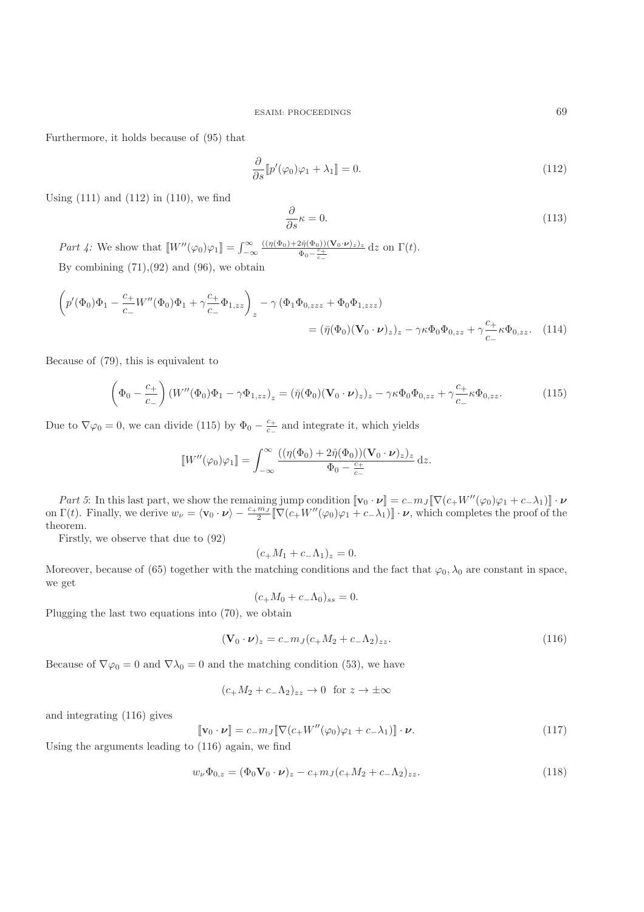Furthermore, it holds because of (95) that

$$
\frac{\partial}{\partial s} \left[ p'(\varphi_0)\varphi_1 + \lambda_1 \right] = 0. \tag{112}
$$

Using (111) and (112) in (110), we find

$$
\frac{\partial}{\partial s}\kappa = 0.\tag{113}
$$

Part 4: We show that  $[[W''(\varphi_0)\varphi_1]] = \int_{-\infty}^{\infty}$  $((\eta(\Phi_0)+2\hat{\eta}(\Phi_0))(\mathbf{V}_0\cdot\boldsymbol{\nu})_z)_z$  $\frac{2\eta(\Psi_0\bm{\theta})\bm{\Psi}_0\cdot\bm{\Psi}_z\bm{\theta}z}{\Phi_0-\frac{c_+}{c_-}}$  dz on  $\Gamma(t)$ . By combining  $(71),(92)$  and  $(96)$ , we obtain

$$
\left(p'(\Phi_0)\Phi_1 - \frac{c_+}{c_-}W''(\Phi_0)\Phi_1 + \gamma\frac{c_+}{c_-}\Phi_{1,zz}\right)_z - \gamma\left(\Phi_1\Phi_{0,zzz} + \Phi_0\Phi_{1,zzz}\right) \n= (\bar{\eta}(\Phi_0)(\mathbf{V}_0 \cdot \boldsymbol{\nu})_z)_z - \gamma\kappa\Phi_0\Phi_{0,zz} + \gamma\frac{c_+}{c_-}\kappa\Phi_{0,zz}.
$$
\n(114)

Because of (79), this is equivalent to

$$
\left(\Phi_0 - \frac{c_+}{c_-}\right) \left(W''(\Phi_0)\Phi_1 - \gamma \Phi_{1,zz}\right)_z = (\bar{\eta}(\Phi_0)(\mathbf{V}_0 \cdot \boldsymbol{\nu})_z)_z - \gamma \kappa \Phi_0 \Phi_{0,zz} + \gamma \frac{c_+}{c_-} \kappa \Phi_{0,zz}.
$$
\n(115)

Due to  $\nabla \varphi_0 = 0$ , we can divide (115) by  $\Phi_0 - \frac{c_+}{c_-}$  $\frac{c_{+}}{c_{-}}$  and integrate it, which yields

$$
\llbracket W''(\varphi_0)\varphi_1\rrbracket = \int_{-\infty}^{\infty} \frac{((\eta(\Phi_0) + 2\hat{\eta}(\Phi_0))(\mathbf{V}_0 \cdot \boldsymbol{\nu})_z)_z}{\Phi_0 - \frac{c_+}{c_-}} dz.
$$

Part 5: In this last part, we show the remaining jump condition  $[\![\mathbf{v}_0 \cdot \boldsymbol{\nu}]\!] = c_- m_J [\![\nabla (c_+ W''(\varphi_0) \varphi_1 + c_-\lambda_1)]\!] \cdot \boldsymbol{\nu}$ on  $\Gamma(t)$ . Finally, we derive  $w_{\nu} = \langle \mathbf{v}_0 \cdot \boldsymbol{\nu} \rangle - \frac{c+m_J}{2} \llbracket \nabla (c_+ W''(\varphi_0) \varphi_1 + c_-\lambda_1) \rrbracket \cdot \boldsymbol{\nu}$ , which completes the proof of the theorem.

Firstly, we observe that due to (92)

$$
(c_+M_1 + c_-\Lambda_1)_z = 0.
$$

Moreover, because of (65) together with the matching conditions and the fact that  $\varphi_0, \lambda_0$  are constant in space, we get

$$
(c_+M_0+c_-\Lambda_0)_{ss}=0.
$$

Plugging the last two equations into (70), we obtain

$$
(\mathbf{V}_0 \cdot \boldsymbol{\nu})_z = c_- m_J (c_+ M_2 + c_- \Lambda_2)_{zz}.
$$
\n(116)

Because of  $\nabla \varphi_0 = 0$  and  $\nabla \lambda_0 = 0$  and the matching condition (53), we have

 $(c+M_2+c_-\Lambda_2)_{zz}\to 0$  for  $z\to \pm\infty$ 

and integrating (116) gives

$$
\[\mathbf{v}_0 \cdot \boldsymbol{\nu}\] = c_- m_J \[\nabla (c_+ W''(\varphi_0)\varphi_1 + c_- \lambda_1)] \cdot \boldsymbol{\nu}.\tag{117}
$$

Using the arguments leading to (116) again, we find

$$
w_{\nu}\Phi_{0,z} = (\Phi_0 \mathbf{V}_0 \cdot \boldsymbol{\nu})_z - c_+ m_J (c_+ M_2 + c_- \Lambda_2)_{zz}.
$$
\n(118)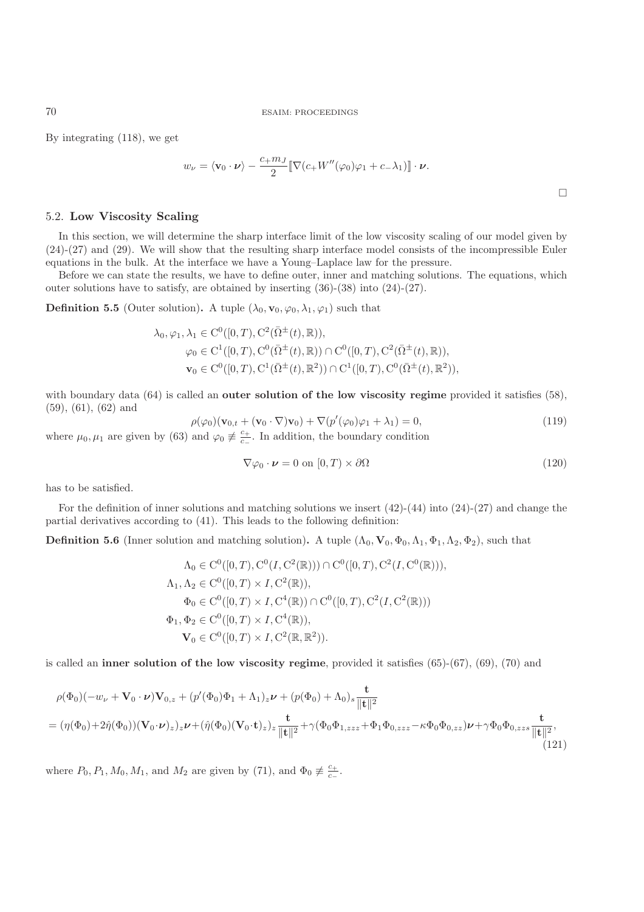By integrating (118), we get

$$
w_{\nu} = \langle \mathbf{v}_0 \cdot \boldsymbol{\nu} \rangle - \frac{c_+ m_J}{2} \llbracket \nabla (c_+ W''(\varphi_0) \varphi_1 + c_- \lambda_1) \rrbracket \cdot \boldsymbol{\nu}.
$$

## 5.2. Low Viscosity Scaling

In this section, we will determine the sharp interface limit of the low viscosity scaling of our model given by (24)-(27) and (29). We will show that the resulting sharp interface model consists of the incompressible Euler equations in the bulk. At the interface we have a Young–Laplace law for the pressure.

Before we can state the results, we have to define outer, inner and matching solutions. The equations, which outer solutions have to satisfy, are obtained by inserting  $(36)-(38)$  into  $(24)-(27)$ .

**Definition 5.5** (Outer solution). A tuple  $(\lambda_0, \mathbf{v}_0, \varphi_0, \lambda_1, \varphi_1)$  such that

$$
\lambda_0, \varphi_1, \lambda_1 \in C^0([0, T), C^2(\bar{\Omega}^{\pm}(t), \mathbb{R})), \varphi_0 \in C^1([0, T), C^0(\bar{\Omega}^{\pm}(t), \mathbb{R})) \cap C^0([0, T), C^2(\bar{\Omega}^{\pm}(t), \mathbb{R})), \mathbf{v}_0 \in C^0([0, T), C^1(\bar{\Omega}^{\pm}(t), \mathbb{R}^2)) \cap C^1([0, T), C^0(\bar{\Omega}^{\pm}(t), \mathbb{R}^2)),
$$

with boundary data  $(64)$  is called an **outer solution of the low viscosity regime** provided it satisfies  $(58)$ , (59), (61), (62) and

$$
\rho(\varphi_0)(\mathbf{v}_{0,t} + (\mathbf{v}_0 \cdot \nabla)\mathbf{v}_0) + \nabla(p'(\varphi_0)\varphi_1 + \lambda_1) = 0, \qquad (119)
$$

where  $\mu_0, \mu_1$  are given by (63) and  $\varphi_0 \not\equiv \frac{c_+}{c_-}$  $\frac{c_{+}}{c_{-}}$ . In addition, the boundary condition

$$
\nabla \varphi_0 \cdot \boldsymbol{\nu} = 0 \text{ on } [0, T) \times \partial \Omega \tag{120}
$$

has to be satisfied.

For the definition of inner solutions and matching solutions we insert (42)-(44) into (24)-(27) and change the partial derivatives according to (41). This leads to the following definition:

**Definition 5.6** (Inner solution and matching solution). A tuple  $(\Lambda_0, \mathbf{V}_0, \Phi_0, \Lambda_1, \Phi_1, \Lambda_2, \Phi_2)$ , such that

$$
\Lambda_0 \in C^0([0, T), C^0(I, C^2(\mathbb{R}))) \cap C^0([0, T), C^2(I, C^0(\mathbb{R}))),
$$
  
\n
$$
\Lambda_1, \Lambda_2 \in C^0([0, T) \times I, C^2(\mathbb{R})),
$$
  
\n
$$
\Phi_0 \in C^0([0, T) \times I, C^4(\mathbb{R})) \cap C^0([0, T), C^2(I, C^2(\mathbb{R})))
$$
  
\n
$$
\Phi_1, \Phi_2 \in C^0([0, T) \times I, C^4(\mathbb{R})),
$$
  
\n
$$
\mathbf{V}_0 \in C^0([0, T) \times I, C^2(\mathbb{R}, \mathbb{R}^2)).
$$

is called an **inner solution of the low viscosity regime**, provided it satisfies  $(65)-(67)$ ,  $(69)$ ,  $(70)$  and

$$
\rho(\Phi_0)(-w_{\nu} + \mathbf{V}_0 \cdot \nu)\mathbf{V}_{0,z} + (p'(\Phi_0)\Phi_1 + \Lambda_1)_z \nu + (p(\Phi_0) + \Lambda_0)_s \frac{\mathbf{t}}{\|\mathbf{t}\|^2}
$$
  
=  $(\eta(\Phi_0) + 2\hat{\eta}(\Phi_0))(\mathbf{V}_0 \cdot \nu)_z)_z \nu + (\hat{\eta}(\Phi_0)(\mathbf{V}_0 \cdot \mathbf{t})_z)_z \frac{\mathbf{t}}{\|\mathbf{t}\|^2} + \gamma(\Phi_0 \Phi_{1,zzz} + \Phi_1 \Phi_{0,zzz} - \kappa \Phi_0 \Phi_{0,zz})\nu + \gamma \Phi_0 \Phi_{0,zzs} \frac{\mathbf{t}}{\|\mathbf{t}\|^2},$  (121)

where  $P_0, P_1, M_0, M_1$ , and  $M_2$  are given by (71), and  $\Phi_0 \not\equiv \frac{c_+}{c_-}$  $\frac{c_{+}}{c_{-}}$ .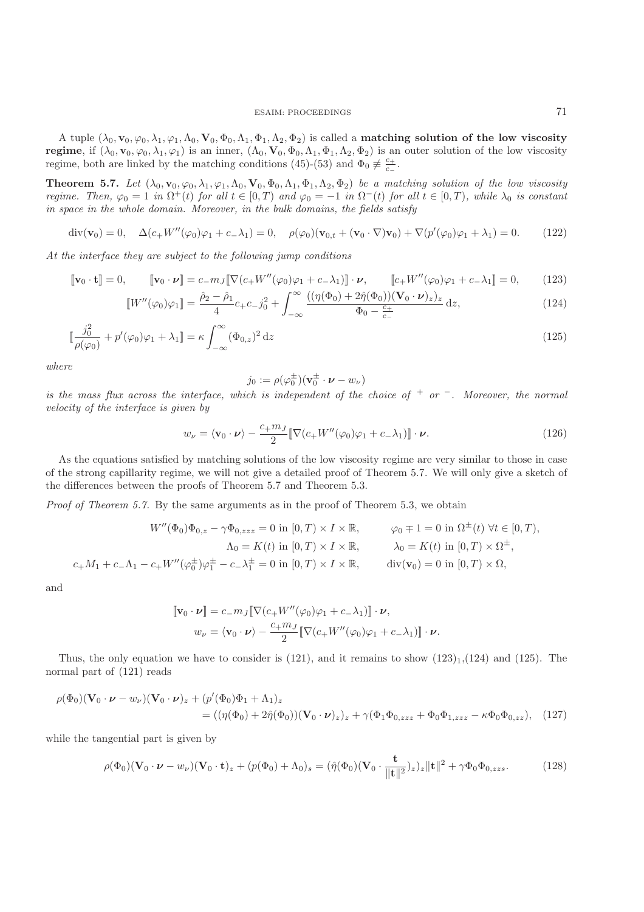A tuple  $(\lambda_0, \mathbf{v}_0, \varphi_0, \lambda_1, \varphi_1, \Lambda_0, \mathbf{V}_0, \Phi_0, \Lambda_1, \Phi_1, \Lambda_2, \Phi_2)$  is called a **matching solution of the low viscosity** regime, if  $(\lambda_0, \mathbf{v}_0, \varphi_0, \lambda_1, \varphi_1)$  is an inner,  $(\Lambda_0, \mathbf{V}_0, \Phi_0, \Lambda_1, \Phi_1, \Lambda_2, \Phi_2)$  is an outer solution of the low viscosity regime, both are linked by the matching conditions (45)-(53) and  $\Phi_0 \neq \frac{c_+}{c_-}$  $\frac{c_+}{c_-}.$ 

**Theorem 5.7.** Let  $(\lambda_0, \mathbf{v}_0, \varphi_0, \lambda_1, \varphi_1, \Lambda_0, \mathbf{V}_0, \Phi_0, \Lambda_1, \Phi_1, \Lambda_2, \Phi_2)$  be a matching solution of the low viscosity regime. Then,  $\varphi_0 = 1$  in  $\Omega^+(t)$  for all  $t \in [0,T)$  and  $\varphi_0 = -1$  in  $\Omega^-(t)$  for all  $t \in [0,T)$ , while  $\lambda_0$  is constant in space in the whole domain. Moreover, in the bulk domains, the fields satisfy

$$
\operatorname{div}(\mathbf{v}_0) = 0, \quad \Delta(c_+ W''(\varphi_0)\varphi_1 + c_-\lambda_1) = 0, \quad \rho(\varphi_0)(\mathbf{v}_{0,t} + (\mathbf{v}_0 \cdot \nabla)\mathbf{v}_0) + \nabla(p'(\varphi_0)\varphi_1 + \lambda_1) = 0. \tag{122}
$$

At the interface they are subject to the following jump conditions

$$
\[\mathbf{v}_0 \cdot \mathbf{t}\] = 0, \qquad \[\mathbf{v}_0 \cdot \boldsymbol{\nu}\] = c_- m_J \[\nabla (c_+ W''(\varphi_0)\varphi_1 + c_- \lambda_1)] \cdot \boldsymbol{\nu}, \qquad \[\![c_+ W''(\varphi_0)\varphi_1 + c_- \lambda_1]\!] = 0,\tag{123}
$$

$$
\llbracket W''(\varphi_0)\varphi_1 \rrbracket = \frac{\hat{\rho}_2 - \hat{\rho}_1}{4}c_+c_-j_0^2 + \int_{-\infty}^{\infty} \frac{((\eta(\Phi_0) + 2\hat{\eta}(\Phi_0))(\mathbf{V}_0 \cdot \boldsymbol{\nu})_z)_z}{\Phi_0 - \frac{c_+}{c_-}} dz,
$$
\n(124)

$$
\left[\frac{j_0^2}{\rho(\varphi_0)} + p'(\varphi_0)\varphi_1 + \lambda_1\right] = \kappa \int_{-\infty}^{\infty} (\Phi_{0,z})^2 dz
$$
\n(125)

where

$$
j_0 := \rho(\varphi_0^{\pm})(\mathbf{v}_0^{\pm} \cdot \boldsymbol{\nu} - w_{\nu})
$$

is the mass flux across the interface, which is independent of the choice of  $+$  or  $-$ . Moreover, the normal velocity of the interface is given by

$$
w_{\nu} = \langle \mathbf{v}_0 \cdot \boldsymbol{\nu} \rangle - \frac{c_+ m_J}{2} \left[ \nabla (c_+ W''(\varphi_0) \varphi_1 + c_- \lambda_1) \right] \cdot \boldsymbol{\nu}.
$$
 (126)

As the equations satisfied by matching solutions of the low viscosity regime are very similar to those in case of the strong capillarity regime, we will not give a detailed proof of Theorem 5.7. We will only give a sketch of the differences between the proofs of Theorem 5.7 and Theorem 5.3.

Proof of Theorem 5.7. By the same arguments as in the proof of Theorem 5.3, we obtain

$$
W''(\Phi_0)\Phi_{0,z} - \gamma \Phi_{0,zzz} = 0 \text{ in } [0,T) \times I \times \mathbb{R}, \qquad \varphi_0 \mp 1 = 0 \text{ in } \Omega^{\pm}(t) \ \forall t \in [0,T),
$$
  

$$
\Lambda_0 = K(t) \text{ in } [0,T) \times I \times \mathbb{R}, \qquad \lambda_0 = K(t) \text{ in } [0,T) \times \Omega^{\pm},
$$
  

$$
c_+M_1 + c_-\Lambda_1 - c_+W''(\varphi_0^{\pm})\varphi_1^{\pm} - c_-\lambda_1^{\pm} = 0 \text{ in } [0,T) \times I \times \mathbb{R}, \qquad \text{div}(\mathbf{v}_0) = 0 \text{ in } [0,T) \times \Omega,
$$

and

$$
\begin{aligned} [\![\mathbf{v}_0 \cdot \boldsymbol{\nu}]\!] &= c_- m_J [\![\nabla (c_+ W''(\varphi_0)\varphi_1 + c_- \lambda_1)]\!] \cdot \boldsymbol{\nu}, \\ w_{\nu} &= \langle \mathbf{v}_0 \cdot \boldsymbol{\nu} \rangle - \frac{c_+ m_J}{2} [\![\nabla (c_+ W''(\varphi_0)\varphi_1 + c_- \lambda_1)]\!] \cdot \boldsymbol{\nu}. \end{aligned}
$$

Thus, the only equation we have to consider is (121), and it remains to show  $(123)_1$ ,  $(124)$  and (125). The normal part of (121) reads

$$
\rho(\Phi_0)(\mathbf{V}_0 \cdot \boldsymbol{\nu} - w_{\nu})(\mathbf{V}_0 \cdot \boldsymbol{\nu})_z + (p'(\Phi_0)\Phi_1 + \Lambda_1)_z
$$
  
= ((\eta(\Phi\_0) + 2\hat{\eta}(\Phi\_0))(\mathbf{V}\_0 \cdot \boldsymbol{\nu})\_z)\_z + \gamma(\Phi\_1\Phi\_{0,zzz} + \Phi\_0\Phi\_{1,zzz} - \kappa\Phi\_0\Phi\_{0,zz}), (127)

while the tangential part is given by

$$
\rho(\Phi_0)(\mathbf{V}_0 \cdot \boldsymbol{\nu} - w_{\nu})(\mathbf{V}_0 \cdot \mathbf{t})_z + (p(\Phi_0) + \Lambda_0)_s = (\hat{\eta}(\Phi_0)(\mathbf{V}_0 \cdot \frac{\mathbf{t}}{\|\mathbf{t}\|^2})_z)_z \|\mathbf{t}\|^2 + \gamma \Phi_0 \Phi_{0, zzs}.
$$
 (128)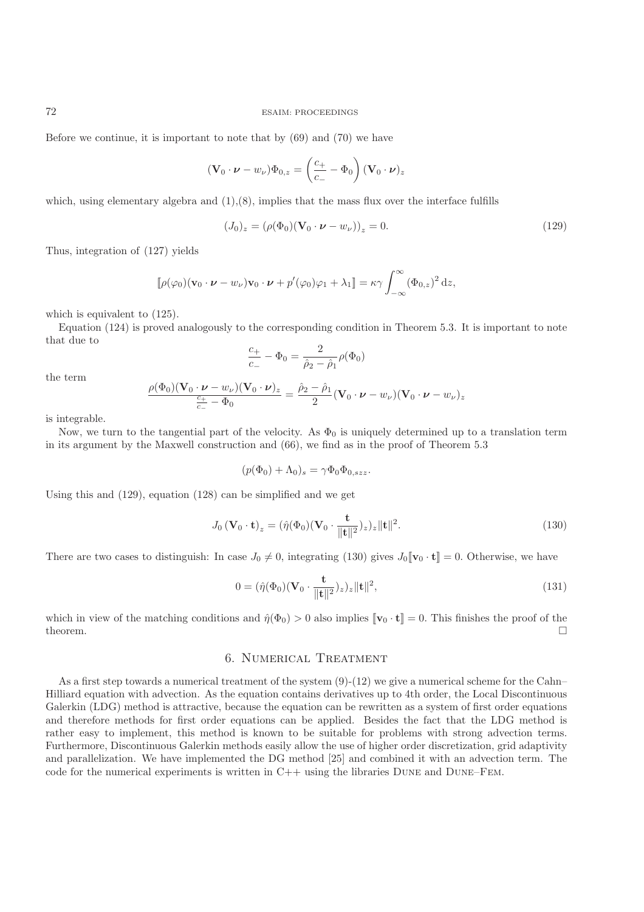Before we continue, it is important to note that by (69) and (70) we have

$$
(\mathbf{V}_0 \cdot \boldsymbol{\nu} - w_{\nu}) \Phi_{0,z} = \left(\frac{c_+}{c_-} - \Phi_0\right) (\mathbf{V}_0 \cdot \boldsymbol{\nu})_z
$$

which, using elementary algebra and  $(1),(8)$ , implies that the mass flux over the interface fulfills

$$
(J_0)_z = (\rho(\Phi_0)(\mathbf{V}_0 \cdot \boldsymbol{\nu} - w_{\nu}))_z = 0.
$$
\n(129)

Thus, integration of (127) yields

$$
[\![\rho(\varphi_0)(\mathbf{v}_0\cdot\boldsymbol{\nu}-w_{\nu})\mathbf{v}_0\cdot\boldsymbol{\nu}+p'(\varphi_0)\varphi_1+\lambda_1]\!]=\kappa\gamma\int_{-\infty}^{\infty}(\Phi_{0,z})^2\,\mathrm{d}z,
$$

which is equivalent to (125).

Equation (124) is proved analogously to the corresponding condition in Theorem 5.3. It is important to note that due to

$$
\frac{c_+}{c_-} - \Phi_0 = \frac{2}{\hat{\rho}_2 - \hat{\rho}_1} \rho(\Phi_0)
$$

the term

$$
\frac{\rho(\Phi_0)(\mathbf{V}_0 \cdot \boldsymbol{\nu} - w_{\nu})(\mathbf{V}_0 \cdot \boldsymbol{\nu})_z}{\frac{c_+}{c_-} - \Phi_0} = \frac{\hat{\rho}_2 - \hat{\rho}_1}{2} (\mathbf{V}_0 \cdot \boldsymbol{\nu} - w_{\nu})(\mathbf{V}_0 \cdot \boldsymbol{\nu} - w_{\nu})_z
$$

is integrable.

Now, we turn to the tangential part of the velocity. As  $\Phi_0$  is uniquely determined up to a translation term in its argument by the Maxwell construction and (66), we find as in the proof of Theorem 5.3

$$
(p(\Phi_0) + \Lambda_0)_s = \gamma \Phi_0 \Phi_{0, szz}.
$$

Using this and (129), equation (128) can be simplified and we get

$$
J_0 \left(\mathbf{V}_0 \cdot \mathbf{t}\right)_z = \left(\hat{\eta}(\Phi_0) (\mathbf{V}_0 \cdot \frac{\mathbf{t}}{\|\mathbf{t}\|^2})_z\right)_z \|\mathbf{t}\|^2. \tag{130}
$$

There are two cases to distinguish: In case  $J_0 \neq 0$ , integrating (130) gives  $J_0[\mathbf{v}_0 \cdot \mathbf{t}] = 0$ . Otherwise, we have

$$
0 = (\hat{\eta}(\Phi_0)(\mathbf{V}_0 \cdot \frac{\mathbf{t}}{\|\mathbf{t}\|^2})_z)_z \|\mathbf{t}\|^2, \tag{131}
$$

which in view of the matching conditions and  $\hat{\eta}(\Phi_0) > 0$  also implies  $[\![\mathbf{v}_0 \cdot \mathbf{t}]\!] = 0$ . This finishes the proof of the theorem. theorem.  $\Box$ 

## 6. Numerical Treatment

As a first step towards a numerical treatment of the system (9)-(12) we give a numerical scheme for the Cahn– Hilliard equation with advection. As the equation contains derivatives up to 4th order, the Local Discontinuous Galerkin (LDG) method is attractive, because the equation can be rewritten as a system of first order equations and therefore methods for first order equations can be applied. Besides the fact that the LDG method is rather easy to implement, this method is known to be suitable for problems with strong advection terms. Furthermore, Discontinuous Galerkin methods easily allow the use of higher order discretization, grid adaptivity and parallelization. We have implemented the DG method [25] and combined it with an advection term. The code for the numerical experiments is written in  $C++$  using the libraries DUNE and DUNE–FEM.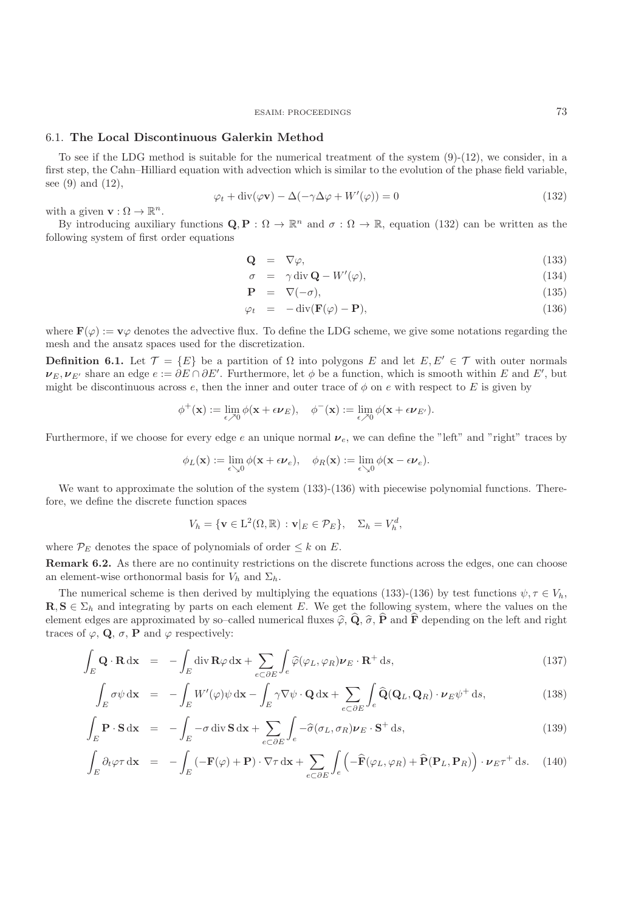## 6.1. The Local Discontinuous Galerkin Method

To see if the LDG method is suitable for the numerical treatment of the system (9)-(12), we consider, in a first step, the Cahn–Hilliard equation with advection which is similar to the evolution of the phase field variable, see (9) and (12),

$$
\varphi_t + \operatorname{div}(\varphi \mathbf{v}) - \Delta(-\gamma \Delta \varphi + W'(\varphi)) = 0 \tag{132}
$$

with a given  $\mathbf{v}: \Omega \to \mathbb{R}^n$ .

By introducing auxiliary functions  $\mathbf{Q}, \mathbf{P} : \Omega \to \mathbb{R}^n$  and  $\sigma : \Omega \to \mathbb{R}$ , equation (132) can be written as the following system of first order equations

$$
\mathbf{Q} = \nabla \varphi, \tag{133}
$$

$$
\sigma = \gamma \operatorname{div} \mathbf{Q} - W'(\varphi), \tag{134}
$$

$$
\mathbf{P} = \nabla(-\sigma), \tag{135}
$$

$$
\varphi_t = -\operatorname{div}(\mathbf{F}(\varphi) - \mathbf{P}), \qquad (136)
$$

where  $\mathbf{F}(\varphi) := \mathbf{v}\varphi$  denotes the advective flux. To define the LDG scheme, we give some notations regarding the mesh and the ansatz spaces used for the discretization.

**Definition 6.1.** Let  $\mathcal{T} = \{E\}$  be a partition of  $\Omega$  into polygons E and let  $E, E' \in \mathcal{T}$  with outer normals  $\nu_E, \nu_{E'}$  share an edge  $e := \partial E \cap \partial E'$ . Furthermore, let  $\phi$  be a function, which is smooth within E and E', but might be discontinuous across e, then the inner and outer trace of  $\phi$  on e with respect to E is given by

$$
\phi^+(\mathbf{x}) := \lim_{\epsilon \nearrow 0} \phi(\mathbf{x} + \epsilon \boldsymbol{\nu}_E), \quad \phi^-(\mathbf{x}) := \lim_{\epsilon \nearrow 0} \phi(\mathbf{x} + \epsilon \boldsymbol{\nu}_{E'}).
$$

Furthermore, if we choose for every edge e an unique normal  $\nu_e$ , we can define the "left" and "right" traces by

$$
\phi_L(\mathbf{x}) := \lim_{\epsilon \searrow 0} \phi(\mathbf{x} + \epsilon \boldsymbol{\nu}_e), \quad \phi_R(\mathbf{x}) := \lim_{\epsilon \searrow 0} \phi(\mathbf{x} - \epsilon \boldsymbol{\nu}_e).
$$

We want to approximate the solution of the system  $(133)-(136)$  with piecewise polynomial functions. Therefore, we define the discrete function spaces

$$
V_h = \{ \mathbf{v} \in \mathcal{L}^2(\Omega, \mathbb{R}) : \mathbf{v}|_E \in \mathcal{P}_E \}, \quad \Sigma_h = V_h^d,
$$

where  $\mathcal{P}_E$  denotes the space of polynomials of order  $\leq k$  on  $E$ .

Remark 6.2. As there are no continuity restrictions on the discrete functions across the edges, one can choose an element-wise orthonormal basis for  $V_h$  and  $\Sigma_h$ .

The numerical scheme is then derived by multiplying the equations (133)-(136) by test functions  $\psi, \tau \in V_h$ ,  $\mathbf{R}, \mathbf{S} \in \Sigma_h$  and integrating by parts on each element E. We get the following system, where the values on the element edges are approximated by so–called numerical fluxes  $\hat{\varphi}, \hat{\mathbf{Q}}, \hat{\sigma}, \hat{\mathbf{P}}$  and  $\hat{\mathbf{F}}$  depending on the left and right traces of  $\varphi$ , **Q**,  $\sigma$ , **P** and  $\varphi$  respectively:

$$
\int_{E} \mathbf{Q} \cdot \mathbf{R} \, \mathrm{d}\mathbf{x} = -\int_{E} \mathrm{div} \, \mathbf{R} \varphi \, \mathrm{d}\mathbf{x} + \sum_{e \subset \partial E} \int_{e} \widehat{\varphi}(\varphi_L, \varphi_R) \nu_E \cdot \mathbf{R}^+ \, \mathrm{d}s,\tag{137}
$$

$$
\int_{E} \sigma \psi \, \mathrm{d} \mathbf{x} = -\int_{E} W'(\varphi) \psi \, \mathrm{d} \mathbf{x} - \int_{E} \gamma \nabla \psi \cdot \mathbf{Q} \, \mathrm{d} \mathbf{x} + \sum_{e \subset \partial E} \int_{e} \widehat{\mathbf{Q}}(\mathbf{Q}_{L}, \mathbf{Q}_{R}) \cdot \nu_{E} \psi^{+} \, \mathrm{d} s,\tag{138}
$$

$$
\int_{E} \mathbf{P} \cdot \mathbf{S} \, \mathrm{d}\mathbf{x} = -\int_{E} -\sigma \, \mathrm{div} \, \mathbf{S} \, \mathrm{d}\mathbf{x} + \sum_{e \subset \partial E} \int_{e} -\widehat{\sigma}(\sigma_{L}, \sigma_{R}) \nu_{E} \cdot \mathbf{S}^{+} \, \mathrm{d}s,\tag{139}
$$

$$
\int_{E} \partial_t \varphi \tau \, \mathrm{d}\mathbf{x} = -\int_{E} \left( -\mathbf{F}(\varphi) + \mathbf{P} \right) \cdot \nabla \tau \, \mathrm{d}\mathbf{x} + \sum_{e \subset \partial E} \int_{e} \left( -\widehat{\mathbf{F}}(\varphi_L, \varphi_R) + \widehat{\mathbf{P}}(\mathbf{P}_L, \mathbf{P}_R) \right) \cdot \boldsymbol{\nu}_E \tau^+ \, \mathrm{d}s. \tag{140}
$$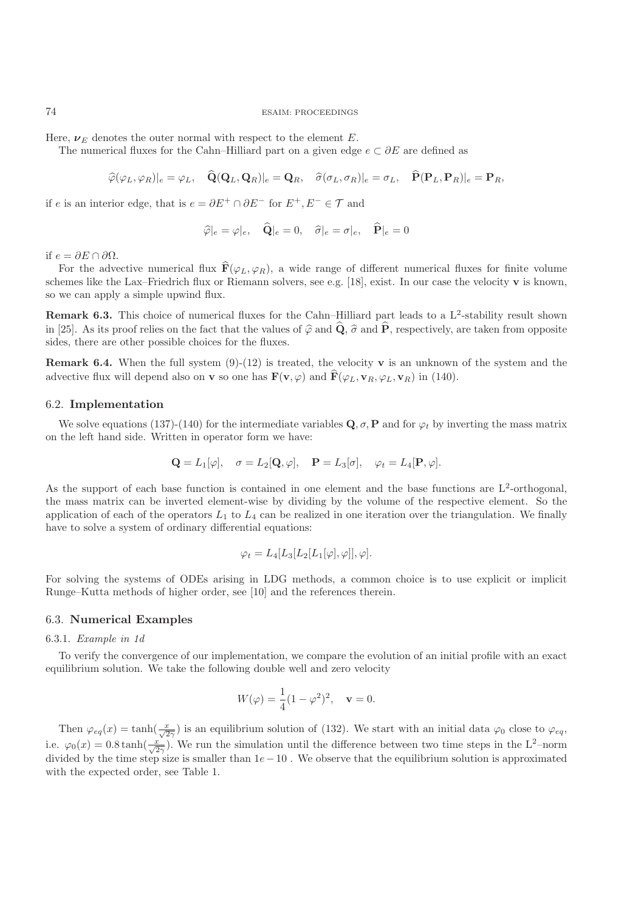Here,  $\nu_E$  denotes the outer normal with respect to the element E.

The numerical fluxes for the Cahn–Hilliard part on a given edge  $e \subset \partial E$  are defined as

$$
\widehat{\varphi}(\varphi_L, \varphi_R)|_e = \varphi_L, \quad \widehat{\mathbf{Q}}(\mathbf{Q}_L, \mathbf{Q}_R)|_e = \mathbf{Q}_R, \quad \widehat{\sigma}(\sigma_L, \sigma_R)|_e = \sigma_L, \quad \widehat{\mathbf{P}}(\mathbf{P}_L, \mathbf{P}_R)|_e = \mathbf{P}_R,
$$

if e is an interior edge, that is  $e = \partial E^+ \cap \partial E^-$  for  $E^+, E^- \in \mathcal{T}$  and

$$
\widehat{\varphi}|_e = \varphi|_e, \quad \widehat{\mathbf{Q}}|_e = 0, \quad \widehat{\sigma}|_e = \sigma|_e, \quad \widehat{\mathbf{P}}|_e = 0
$$

if e = ∂E ∩ ∂Ω.

For the advective numerical flux  $\hat{\mathbf{F}}(\varphi_L, \varphi_R)$ , a wide range of different numerical fluxes for finite volume schemes like the Lax–Friedrich flux or Riemann solvers, see e.g. [18], exist. In our case the velocity v is known, so we can apply a simple upwind flux.

**Remark 6.3.** This choice of numerical fluxes for the Cahn–Hilliard part leads to a  $L^2$ -stability result shown in [25]. As its proof relies on the fact that the values of  $\hat{\varphi}$  and  $\hat{\mathbf{Q}}, \hat{\sigma}$  and  $\hat{\mathbf{P}}$ , respectively, are taken from opposite sides, there are other possible choices for the fluxes.

**Remark 6.4.** When the full system (9)-(12) is treated, the velocity **v** is an unknown of the system and the advective flux will depend also on **v** so one has  $\mathbf{F}(\mathbf{v}, \varphi)$  and  $\mathbf{F}(\varphi_L, \mathbf{v}_R, \varphi_L, \mathbf{v}_R)$  in (140).

### 6.2. Implementation

We solve equations (137)-(140) for the intermediate variables  $\mathbf{Q}, \sigma, \mathbf{P}$  and for  $\varphi_t$  by inverting the mass matrix on the left hand side. Written in operator form we have:

$$
\mathbf{Q} = L_1[\varphi], \quad \sigma = L_2[\mathbf{Q}, \varphi], \quad \mathbf{P} = L_3[\sigma], \quad \varphi_t = L_4[\mathbf{P}, \varphi].
$$

As the support of each base function is contained in one element and the base functions are  $L^2$ -orthogonal, the mass matrix can be inverted element-wise by dividing by the volume of the respective element. So the application of each of the operators  $L_1$  to  $L_4$  can be realized in one iteration over the triangulation. We finally have to solve a system of ordinary differential equations:

$$
\varphi_t = L_4[L_3[L_2[L_1[\varphi], \varphi]], \varphi].
$$

For solving the systems of ODEs arising in LDG methods, a common choice is to use explicit or implicit Runge–Kutta methods of higher order, see [10] and the references therein.

### 6.3. Numerical Examples

### 6.3.1. Example in 1d

To verify the convergence of our implementation, we compare the evolution of an initial profile with an exact equilibrium solution. We take the following double well and zero velocity

$$
W(\varphi) = \frac{1}{4}(1 - \varphi^2)^2, \quad \mathbf{v} = 0.
$$

Then  $\varphi_{eq}(x) = \tanh(\frac{x}{\sqrt{2\gamma}})$  is an equilibrium solution of (132). We start with an initial data  $\varphi_0$  close to  $\varphi_{eq}$ , i.e.  $\varphi_0(x) = 0.8 \tanh(\frac{x}{\sqrt{2\gamma}})$ . We run the simulation until the difference between two time steps in the L<sup>2</sup>–norm divided by the time step size is smaller than 1e−10 . We observe that the equilibrium solution is approximated with the expected order, see Table 1.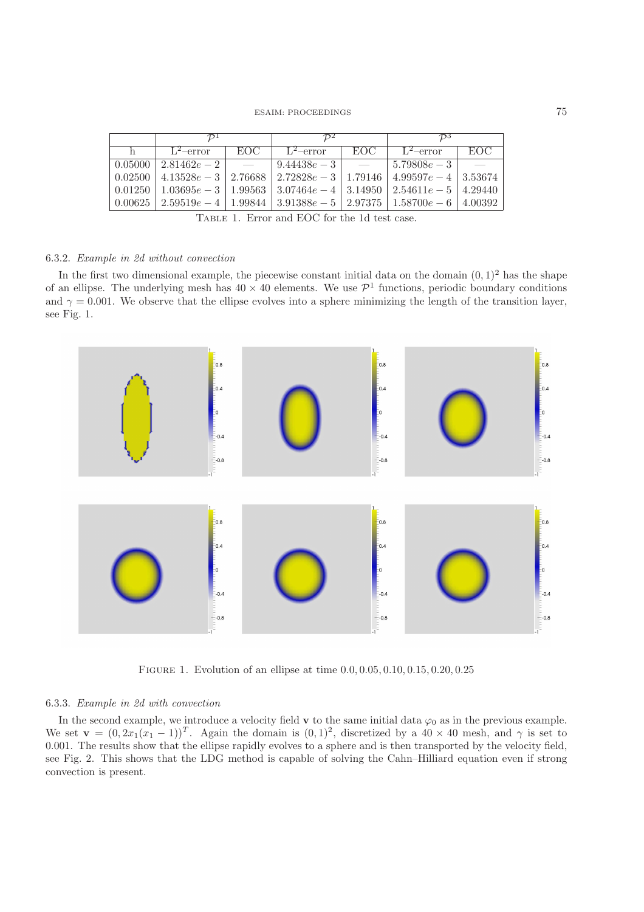| DΊ           |      | $\mathcal{D}^2$ |      | $\mathcal{D}^{\mathfrak{S}}$ |                                                                                                                                                                                                                                                                                                                                                                                                                  |
|--------------|------|-----------------|------|------------------------------|------------------------------------------------------------------------------------------------------------------------------------------------------------------------------------------------------------------------------------------------------------------------------------------------------------------------------------------------------------------------------------------------------------------|
| $L^2$ –error | EOC. | $L^2$ –error    | EOC. | $L^2$ – error                | EOC.                                                                                                                                                                                                                                                                                                                                                                                                             |
|              |      |                 |      | $\mid 5.79808e-3 \mid$       |                                                                                                                                                                                                                                                                                                                                                                                                                  |
|              |      |                 |      |                              |                                                                                                                                                                                                                                                                                                                                                                                                                  |
|              |      |                 |      |                              |                                                                                                                                                                                                                                                                                                                                                                                                                  |
|              |      |                 |      |                              |                                                                                                                                                                                                                                                                                                                                                                                                                  |
|              |      |                 |      |                              | $\left(0.05000\mid 2.81462e-2\mid \quad -\quad \mid 9.44438e-3\mid \quad -\quad \mid$<br>$\mid 0.02500 \mid 4.13528e-3 \mid 2.76688 \mid 2.72828e-3 \mid 1.79146 \mid 4.99597e-4 \mid 3.53674$<br>$\mid 0.01250 \mid 1.03695e-3 \mid 1.99563 \mid 3.07464e-4 \mid 3.14950 \mid 2.54611e-5 \mid 4.29440$<br>$\mid 0.00625 \mid 2.59519e-4 \mid 1.99844 \mid 3.91388e-5 \mid 2.97375 \mid 1.58700e-6 \mid 4.00392$ |

Table 1. Error and EOC for the 1d test case.

## 6.3.2. Example in 2d without convection

In the first two dimensional example, the piecewise constant initial data on the domain  $(0, 1)^2$  has the shape of an ellipse. The underlying mesh has  $40 \times 40$  elements. We use  $\mathcal{P}^1$  functions, periodic boundary conditions and  $\gamma = 0.001$ . We observe that the ellipse evolves into a sphere minimizing the length of the transition layer, see Fig. 1.



Figure 1. Evolution of an ellipse at time 0.0, 0.05, 0.10, 0.15, 0.20, 0.25

## 6.3.3. Example in 2d with convection

In the second example, we introduce a velocity field **v** to the same initial data  $\varphi_0$  as in the previous example. We set  $\mathbf{v} = (0, 2x_1(x_1 - 1))^T$ . Again the domain is  $(0, 1)^2$ , discretized by a 40 × 40 mesh, and  $\gamma$  is set to 0.001. The results show that the ellipse rapidly evolves to a sphere and is then transported by the velocity field, see Fig. 2. This shows that the LDG method is capable of solving the Cahn–Hilliard equation even if strong convection is present.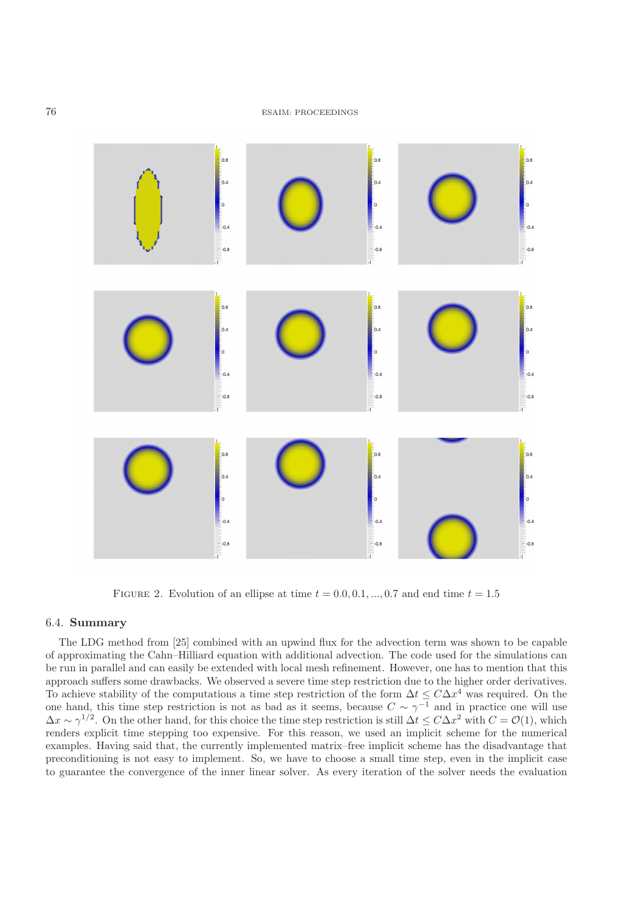

FIGURE 2. Evolution of an ellipse at time  $t = 0.0, 0.1, ..., 0.7$  and end time  $t = 1.5$ 

## 6.4. Summary

The LDG method from [25] combined with an upwind flux for the advection term was shown to be capable of approximating the Cahn–Hilliard equation with additional advection. The code used for the simulations can be run in parallel and can easily be extended with local mesh refinement. However, one has to mention that this approach suffers some drawbacks. We observed a severe time step restriction due to the higher order derivatives. To achieve stability of the computations a time step restriction of the form  $\Delta t \leq C \Delta x^4$  was required. On the one hand, this time step restriction is not as bad as it seems, because  $C \sim \gamma^{-1}$  and in practice one will use  $\Delta x \sim \gamma^{1/2}$ . On the other hand, for this choice the time step restriction is still  $\Delta t \leq C \Delta x^2$  with  $C = \mathcal{O}(1)$ , which renders explicit time stepping too expensive. For this reason, we used an implicit scheme for the numerical examples. Having said that, the currently implemented matrix–free implicit scheme has the disadvantage that preconditioning is not easy to implement. So, we have to choose a small time step, even in the implicit case to guarantee the convergence of the inner linear solver. As every iteration of the solver needs the evaluation